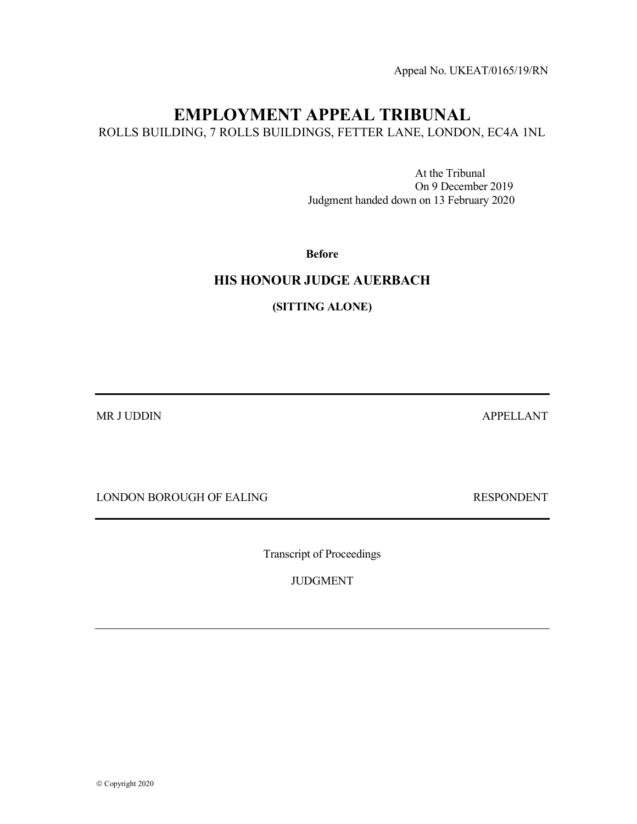Appeal No. UKEAT/0165/19/RN

# EMPLOYMENT APPEAL TRIBUNAL

ROLLS BUILDING, 7 ROLLS BUILDINGS, FETTER LANE, LONDON, EC4A 1NL

 At the Tribunal On 9 December 2019 Judgment handed down on 13 February 2020

Before

## HIS HONOUR JUDGE AUERBACH

(SITTING ALONE)

MR J UDDIN APPELLANT

LONDON BOROUGH OF EALING RESPONDENT

Transcript of Proceedings

JUDGMENT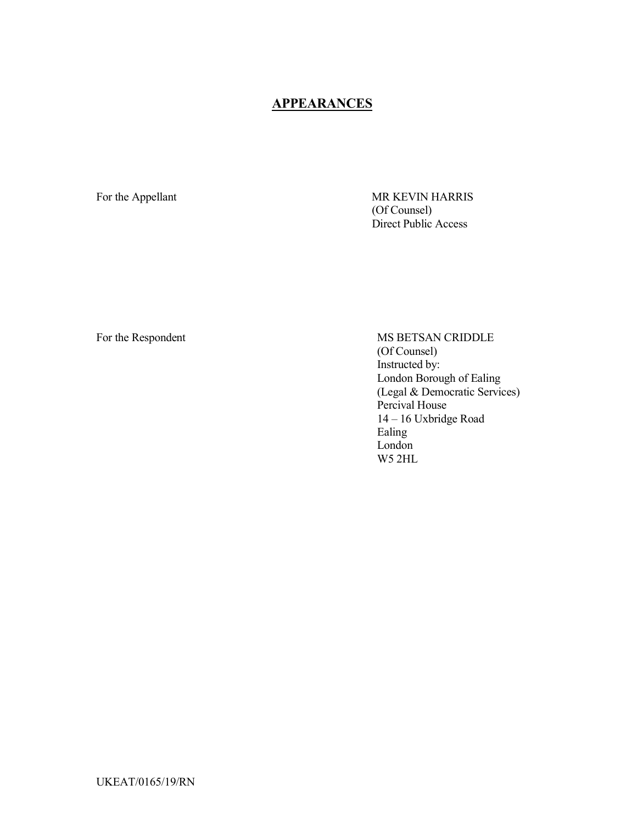# **APPEARANCES**

For the Appellant MR KEVIN HARRIS (Of Counsel) Direct Public Access

For the Respondent MS BETSAN CRIDDLE (Of Counsel) Instructed by: London Borough of Ealing (Legal & Democratic Services) Percival House 14 – 16 Uxbridge Road Ealing London W5 2HL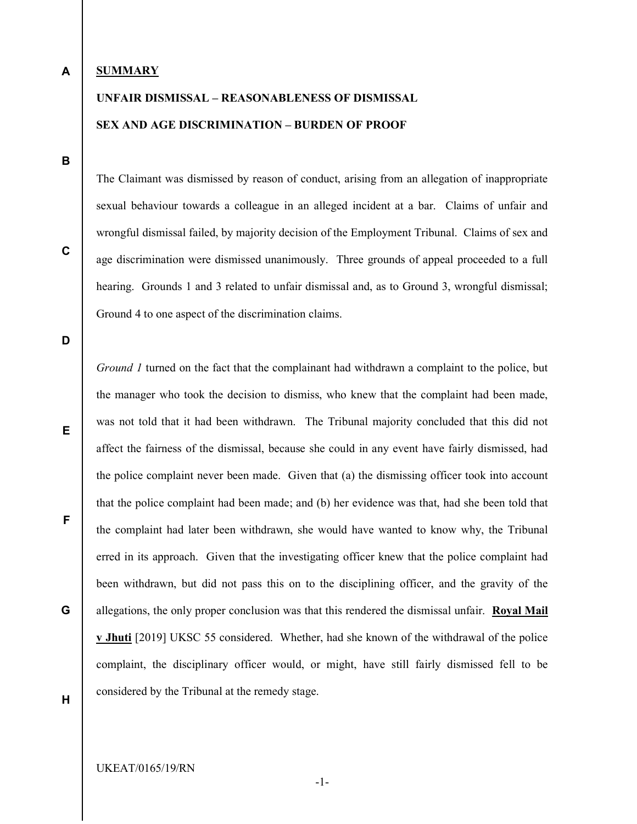## A

## **SUMMARY**

# UNFAIR DISMISSAL – REASONABLENESS OF DISMISSAL SEX AND AGE DISCRIMINATION – BURDEN OF PROOF

B

C

The Claimant was dismissed by reason of conduct, arising from an allegation of inappropriate sexual behaviour towards a colleague in an alleged incident at a bar. Claims of unfair and wrongful dismissal failed, by majority decision of the Employment Tribunal. Claims of sex and age discrimination were dismissed unanimously. Three grounds of appeal proceeded to a full hearing. Grounds 1 and 3 related to unfair dismissal and, as to Ground 3, wrongful dismissal; Ground 4 to one aspect of the discrimination claims.

Ground 1 turned on the fact that the complainant had withdrawn a complaint to the police, but

D

E

the manager who took the decision to dismiss, who knew that the complaint had been made, was not told that it had been withdrawn. The Tribunal majority concluded that this did not affect the fairness of the dismissal, because she could in any event have fairly dismissed, had the police complaint never been made. Given that (a) the dismissing officer took into account that the police complaint had been made; and (b) her evidence was that, had she been told that the complaint had later been withdrawn, she would have wanted to know why, the Tribunal erred in its approach. Given that the investigating officer knew that the police complaint had been withdrawn, but did not pass this on to the disciplining officer, and the gravity of the allegations, the only proper conclusion was that this rendered the dismissal unfair. Royal Mail v Jhuti [2019] UKSC 55 considered. Whether, had she known of the withdrawal of the police complaint, the disciplinary officer would, or might, have still fairly dismissed fell to be considered by the Tribunal at the remedy stage.

F

G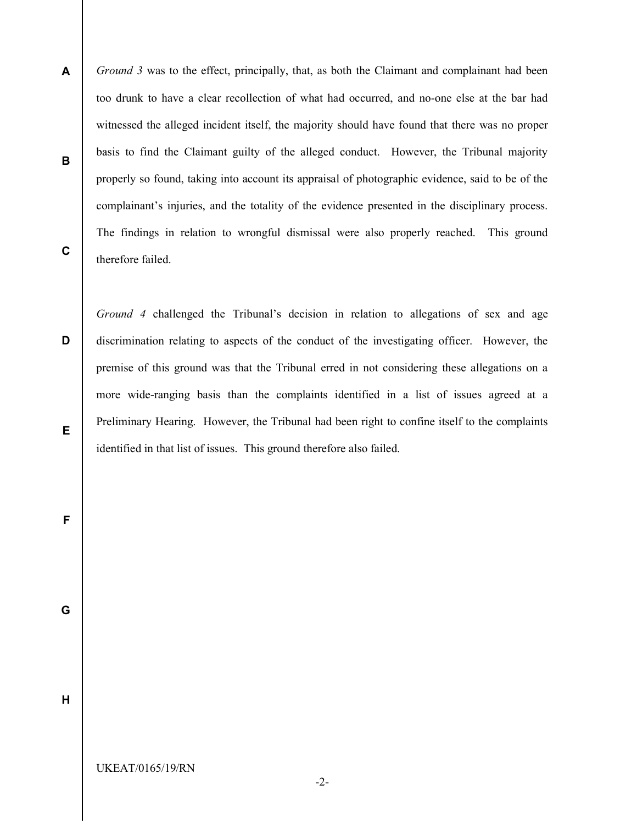A B C Ground 3 was to the effect, principally, that, as both the Claimant and complainant had been too drunk to have a clear recollection of what had occurred, and no-one else at the bar had witnessed the alleged incident itself, the majority should have found that there was no proper basis to find the Claimant guilty of the alleged conduct. However, the Tribunal majority properly so found, taking into account its appraisal of photographic evidence, said to be of the complainant's injuries, and the totality of the evidence presented in the disciplinary process. The findings in relation to wrongful dismissal were also properly reached. This ground therefore failed.

Ground 4 challenged the Tribunal's decision in relation to allegations of sex and age discrimination relating to aspects of the conduct of the investigating officer. However, the premise of this ground was that the Tribunal erred in not considering these allegations on a more wide-ranging basis than the complaints identified in a list of issues agreed at a Preliminary Hearing. However, the Tribunal had been right to confine itself to the complaints identified in that list of issues. This ground therefore also failed.

E

D

G

F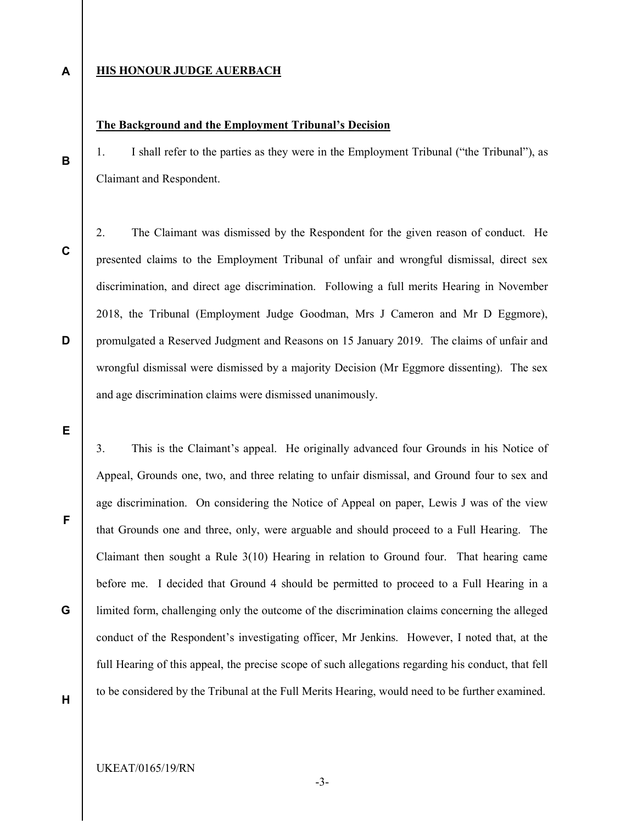#### A **HIS HONOUR JUDGE AUERBACH**

## The Background and the Employment Tribunal's Decision

1. I shall refer to the parties as they were in the Employment Tribunal ("the Tribunal"), as Claimant and Respondent.

C

D

B

2. The Claimant was dismissed by the Respondent for the given reason of conduct. He presented claims to the Employment Tribunal of unfair and wrongful dismissal, direct sex discrimination, and direct age discrimination. Following a full merits Hearing in November 2018, the Tribunal (Employment Judge Goodman, Mrs J Cameron and Mr D Eggmore), promulgated a Reserved Judgment and Reasons on 15 January 2019. The claims of unfair and wrongful dismissal were dismissed by a majority Decision (Mr Eggmore dissenting). The sex and age discrimination claims were dismissed unanimously.

E

F

3. This is the Claimant's appeal. He originally advanced four Grounds in his Notice of Appeal, Grounds one, two, and three relating to unfair dismissal, and Ground four to sex and age discrimination. On considering the Notice of Appeal on paper, Lewis J was of the view that Grounds one and three, only, were arguable and should proceed to a Full Hearing. The Claimant then sought a Rule 3(10) Hearing in relation to Ground four. That hearing came before me. I decided that Ground 4 should be permitted to proceed to a Full Hearing in a limited form, challenging only the outcome of the discrimination claims concerning the alleged conduct of the Respondent's investigating officer, Mr Jenkins. However, I noted that, at the full Hearing of this appeal, the precise scope of such allegations regarding his conduct, that fell to be considered by the Tribunal at the Full Merits Hearing, would need to be further examined.

G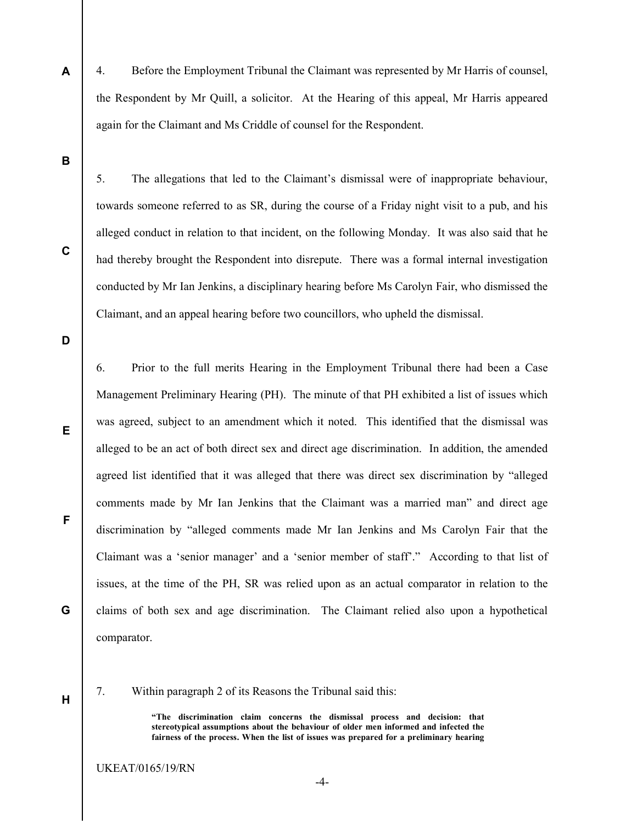4. Before the Employment Tribunal the Claimant was represented by Mr Harris of counsel, the Respondent by Mr Quill, a solicitor. At the Hearing of this appeal, Mr Harris appeared again for the Claimant and Ms Criddle of counsel for the Respondent.

B

C

A

5. The allegations that led to the Claimant's dismissal were of inappropriate behaviour, towards someone referred to as SR, during the course of a Friday night visit to a pub, and his alleged conduct in relation to that incident, on the following Monday. It was also said that he had thereby brought the Respondent into disrepute. There was a formal internal investigation conducted by Mr Ian Jenkins, a disciplinary hearing before Ms Carolyn Fair, who dismissed the Claimant, and an appeal hearing before two councillors, who upheld the dismissal.

D

E

F

G

6. Prior to the full merits Hearing in the Employment Tribunal there had been a Case Management Preliminary Hearing (PH). The minute of that PH exhibited a list of issues which was agreed, subject to an amendment which it noted. This identified that the dismissal was alleged to be an act of both direct sex and direct age discrimination. In addition, the amended agreed list identified that it was alleged that there was direct sex discrimination by "alleged comments made by Mr Ian Jenkins that the Claimant was a married man" and direct age discrimination by "alleged comments made Mr Ian Jenkins and Ms Carolyn Fair that the Claimant was a 'senior manager' and a 'senior member of staff'." According to that list of issues, at the time of the PH, SR was relied upon as an actual comparator in relation to the claims of both sex and age discrimination. The Claimant relied also upon a hypothetical comparator.

H

7. Within paragraph 2 of its Reasons the Tribunal said this:

"The discrimination claim concerns the dismissal process and decision: that stereotypical assumptions about the behaviour of older men informed and infected the fairness of the process. When the list of issues was prepared for a preliminary hearing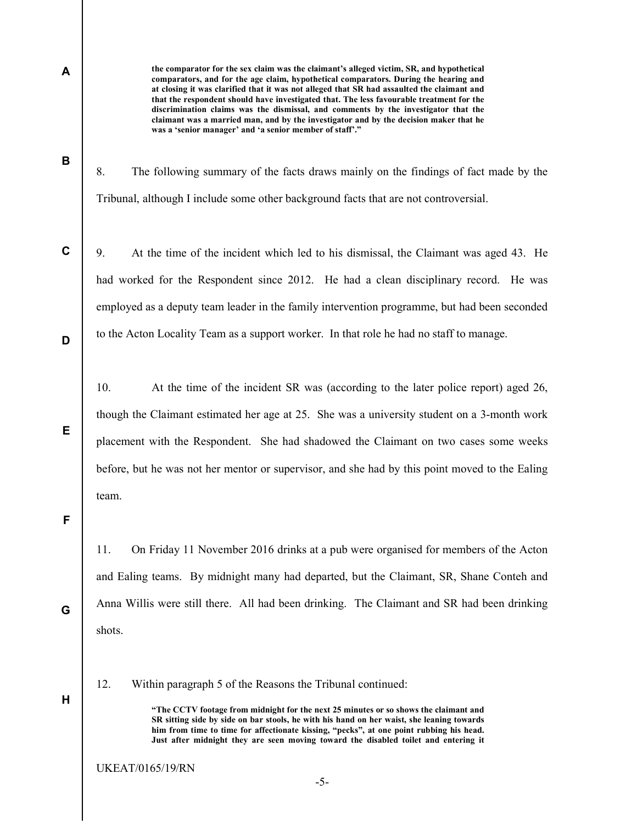A

B

C

D

E

the comparator for the sex claim was the claimant's alleged victim, SR, and hypothetical comparators, and for the age claim, hypothetical comparators. During the hearing and at closing it was clarified that it was not alleged that SR had assaulted the claimant and that the respondent should have investigated that. The less favourable treatment for the discrimination claims was the dismissal, and comments by the investigator that the claimant was a married man, and by the investigator and by the decision maker that he was a 'senior manager' and 'a senior member of staff'."

8. The following summary of the facts draws mainly on the findings of fact made by the Tribunal, although I include some other background facts that are not controversial.

9. At the time of the incident which led to his dismissal, the Claimant was aged 43. He had worked for the Respondent since 2012. He had a clean disciplinary record. He was employed as a deputy team leader in the family intervention programme, but had been seconded to the Acton Locality Team as a support worker. In that role he had no staff to manage.

10. At the time of the incident SR was (according to the later police report) aged 26, though the Claimant estimated her age at 25. She was a university student on a 3-month work placement with the Respondent. She had shadowed the Claimant on two cases some weeks before, but he was not her mentor or supervisor, and she had by this point moved to the Ealing team.

F

11. On Friday 11 November 2016 drinks at a pub were organised for members of the Acton and Ealing teams. By midnight many had departed, but the Claimant, SR, Shane Conteh and Anna Willis were still there. All had been drinking. The Claimant and SR had been drinking shots.

H

G

12. Within paragraph 5 of the Reasons the Tribunal continued:

"The CCTV footage from midnight for the next 25 minutes or so shows the claimant and SR sitting side by side on bar stools, he with his hand on her waist, she leaning towards him from time to time for affectionate kissing, "pecks", at one point rubbing his head. Just after midnight they are seen moving toward the disabled toilet and entering it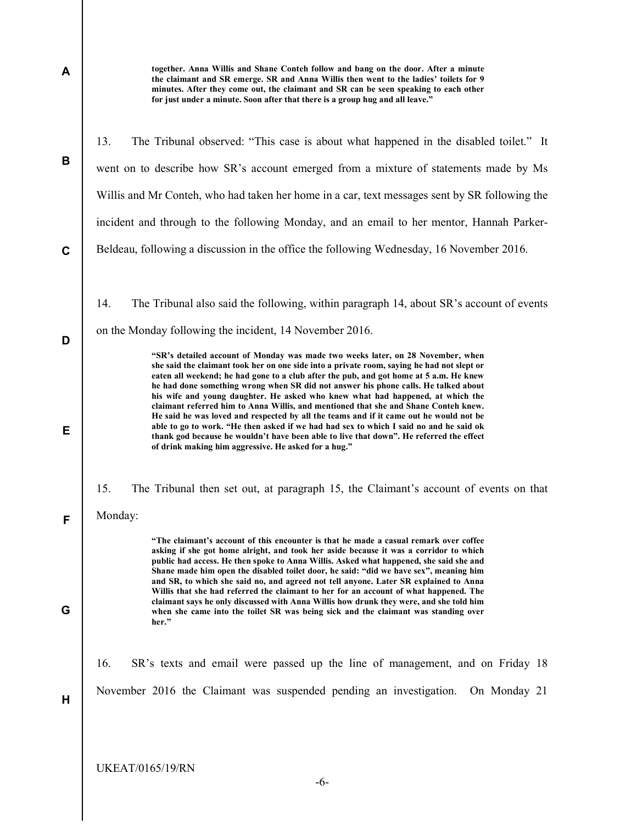| A           | together. Anna Willis and Shane Conteh follow and bang on the door. After a minute<br>the claimant and SR emerge. SR and Anna Willis then went to the ladies' toilets for 9<br>minutes. After they come out, the claimant and SR can be seen speaking to each other<br>for just under a minute. Soon after that there is a group hug and all leave."                                                                                                                                                                                                                                                                                         |
|-------------|----------------------------------------------------------------------------------------------------------------------------------------------------------------------------------------------------------------------------------------------------------------------------------------------------------------------------------------------------------------------------------------------------------------------------------------------------------------------------------------------------------------------------------------------------------------------------------------------------------------------------------------------|
|             | 13.<br>The Tribunal observed: "This case is about what happened in the disabled toilet." It                                                                                                                                                                                                                                                                                                                                                                                                                                                                                                                                                  |
| B           | went on to describe how SR's account emerged from a mixture of statements made by Ms                                                                                                                                                                                                                                                                                                                                                                                                                                                                                                                                                         |
|             | Willis and Mr Conteh, who had taken her home in a car, text messages sent by SR following the                                                                                                                                                                                                                                                                                                                                                                                                                                                                                                                                                |
|             | incident and through to the following Monday, and an email to her mentor, Hannah Parker-                                                                                                                                                                                                                                                                                                                                                                                                                                                                                                                                                     |
| $\mathbf c$ | Beldeau, following a discussion in the office the following Wednesday, 16 November 2016.                                                                                                                                                                                                                                                                                                                                                                                                                                                                                                                                                     |
|             | The Tribunal also said the following, within paragraph 14, about SR's account of events<br>14.                                                                                                                                                                                                                                                                                                                                                                                                                                                                                                                                               |
| D           | on the Monday following the incident, 14 November 2016.                                                                                                                                                                                                                                                                                                                                                                                                                                                                                                                                                                                      |
|             | "SR's detailed account of Monday was made two weeks later, on 28 November, when<br>she said the claimant took her on one side into a private room, saying he had not slept or<br>eaten all weekend; he had gone to a club after the pub, and got home at 5 a.m. He knew<br>he had done something wrong when SR did not answer his phone calls. He talked about<br>his wife and young daughter. He asked who knew what had happened, at which the<br>claimant referred him to Anna Willis, and mentioned that she and Shane Conteh knew.<br>He said he was loved and respected by all the teams and if it came out he would not be            |
| Е           | able to go to work. "He then asked if we had had sex to which I said no and he said ok<br>thank god because he wouldn't have been able to live that down". He referred the effect<br>of drink making him aggressive. He asked for a hug."                                                                                                                                                                                                                                                                                                                                                                                                    |
|             | 15.<br>The Tribunal then set out, at paragraph 15, the Claimant's account of events on that                                                                                                                                                                                                                                                                                                                                                                                                                                                                                                                                                  |
| F           | Monday:                                                                                                                                                                                                                                                                                                                                                                                                                                                                                                                                                                                                                                      |
|             | "The claimant's account of this encounter is that he made a casual remark over coffee<br>asking if she got home alright, and took her aside because it was a corridor to which<br>public had access. He then spoke to Anna Willis. Asked what happened, she said she and<br>Shane made him open the disabled toilet door, he said: "did we have sex", meaning him<br>and SR, to which she said no, and agreed not tell anyone. Later SR explained to Anna<br>Willis that she had referred the claimant to her for an account of what happened. The<br>claimant says he only discussed with Anna Willis how drunk they were, and she told him |
| G           | when she came into the toilet SR was being sick and the claimant was standing over<br>her."                                                                                                                                                                                                                                                                                                                                                                                                                                                                                                                                                  |
|             | 16.<br>SR's texts and email were passed up the line of management, and on Friday 18                                                                                                                                                                                                                                                                                                                                                                                                                                                                                                                                                          |
| Н           | November 2016 the Claimant was suspended pending an investigation.<br>On Monday 21                                                                                                                                                                                                                                                                                                                                                                                                                                                                                                                                                           |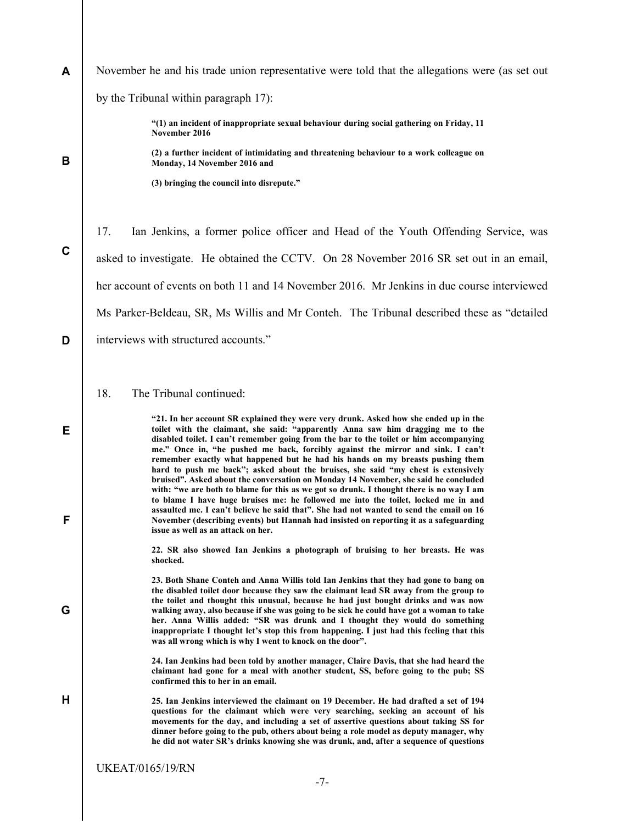| A           | November he and his trade union representative were told that the allegations were (as set out                                                                                                                                                                                                                                                                                                                                                                                                                                                                                                          |
|-------------|---------------------------------------------------------------------------------------------------------------------------------------------------------------------------------------------------------------------------------------------------------------------------------------------------------------------------------------------------------------------------------------------------------------------------------------------------------------------------------------------------------------------------------------------------------------------------------------------------------|
|             | by the Tribunal within paragraph 17):                                                                                                                                                                                                                                                                                                                                                                                                                                                                                                                                                                   |
|             | "(1) an incident of inappropriate sexual behaviour during social gathering on Friday, 11<br>November 2016                                                                                                                                                                                                                                                                                                                                                                                                                                                                                               |
| B           | (2) a further incident of intimidating and threatening behaviour to a work colleague on<br>Monday, 14 November 2016 and                                                                                                                                                                                                                                                                                                                                                                                                                                                                                 |
|             | (3) bringing the council into disrepute."                                                                                                                                                                                                                                                                                                                                                                                                                                                                                                                                                               |
|             | 17.<br>Ian Jenkins, a former police officer and Head of the Youth Offending Service, was                                                                                                                                                                                                                                                                                                                                                                                                                                                                                                                |
| $\mathbf C$ | asked to investigate. He obtained the CCTV. On 28 November 2016 SR set out in an email,                                                                                                                                                                                                                                                                                                                                                                                                                                                                                                                 |
|             | her account of events on both 11 and 14 November 2016. Mr Jenkins in due course interviewed                                                                                                                                                                                                                                                                                                                                                                                                                                                                                                             |
|             | Ms Parker-Beldeau, SR, Ms Willis and Mr Conteh. The Tribunal described these as "detailed"                                                                                                                                                                                                                                                                                                                                                                                                                                                                                                              |
| D           | interviews with structured accounts."                                                                                                                                                                                                                                                                                                                                                                                                                                                                                                                                                                   |
|             |                                                                                                                                                                                                                                                                                                                                                                                                                                                                                                                                                                                                         |
|             | The Tribunal continued:<br>18.                                                                                                                                                                                                                                                                                                                                                                                                                                                                                                                                                                          |
| Е           | "21. In her account SR explained they were very drunk. Asked how she ended up in the<br>toilet with the claimant, she said: "apparently Anna saw him dragging me to the<br>disabled toilet. I can't remember going from the bar to the toilet or him accompanying<br>me." Once in, "he pushed me back, forcibly against the mirror and sink. I can't<br>remember exactly what happened but he had his hands on my breasts pushing them<br>hard to push me back"; asked about the bruises, she said "my chest is extensively                                                                             |
| F           | bruised". Asked about the conversation on Monday 14 November, she said he concluded<br>with: "we are both to blame for this as we got so drunk. I thought there is no way I am<br>to blame I have huge bruises me: he followed me into the toilet, locked me in and<br>assaulted me. I can't believe he said that". She had not wanted to send the email on 16<br>November (describing events) but Hannah had insisted on reporting it as a safeguarding<br>issue as well as an attack on her.                                                                                                          |
|             | 22. SR also showed Ian Jenkins a photograph of bruising to her breasts. He was<br>shocked.                                                                                                                                                                                                                                                                                                                                                                                                                                                                                                              |
| G           | 23. Both Shane Conteh and Anna Willis told Ian Jenkins that they had gone to bang on<br>the disabled toilet door because they saw the claimant lead SR away from the group to<br>the toilet and thought this unusual, because he had just bought drinks and was now<br>walking away, also because if she was going to be sick he could have got a woman to take<br>her. Anna Willis added: "SR was drunk and I thought they would do something<br>inappropriate I thought let's stop this from happening. I just had this feeling that this<br>was all wrong which is why I went to knock on the door". |
|             | 24. Ian Jenkins had been told by another manager, Claire Davis, that she had heard the<br>claimant had gone for a meal with another student, SS, before going to the pub; SS<br>confirmed this to her in an email.                                                                                                                                                                                                                                                                                                                                                                                      |
| н           | 25. Ian Jenkins interviewed the claimant on 19 December. He had drafted a set of 194<br>questions for the claimant which were very searching, seeking an account of his<br>movements for the day, and including a set of assertive questions about taking SS for<br>dinner before going to the pub, others about being a role model as deputy manager, why<br>he did not water SR's drinks knowing she was drunk, and, after a sequence of questions                                                                                                                                                    |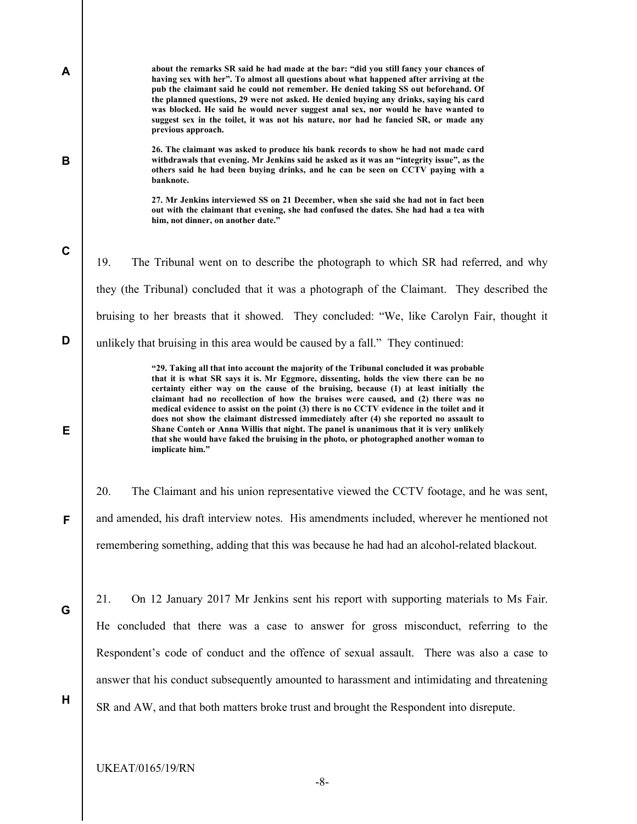| A           | about the remarks SR said he had made at the bar: "did you still fancy your chances of<br>having sex with her". To almost all questions about what happened after arriving at the<br>pub the claimant said he could not remember. He denied taking SS out beforehand. Of<br>the planned questions, 29 were not asked. He denied buying any drinks, saying his card<br>was blocked. He said he would never suggest anal sex, nor would he have wanted to<br>suggest sex in the toilet, it was not his nature, nor had he fancied SR, or made any<br>previous approach.                                                                                                                                                                                          |
|-------------|----------------------------------------------------------------------------------------------------------------------------------------------------------------------------------------------------------------------------------------------------------------------------------------------------------------------------------------------------------------------------------------------------------------------------------------------------------------------------------------------------------------------------------------------------------------------------------------------------------------------------------------------------------------------------------------------------------------------------------------------------------------|
| B           | 26. The claimant was asked to produce his bank records to show he had not made card<br>withdrawals that evening. Mr Jenkins said he asked as it was an "integrity issue", as the<br>others said he had been buying drinks, and he can be seen on CCTV paying with a<br>banknote.                                                                                                                                                                                                                                                                                                                                                                                                                                                                               |
|             | 27. Mr Jenkins interviewed SS on 21 December, when she said she had not in fact been<br>out with the claimant that evening, she had confused the dates. She had had a tea with<br>him, not dinner, on another date."                                                                                                                                                                                                                                                                                                                                                                                                                                                                                                                                           |
| $\mathbf c$ | 19.<br>The Tribunal went on to describe the photograph to which SR had referred, and why                                                                                                                                                                                                                                                                                                                                                                                                                                                                                                                                                                                                                                                                       |
|             | they (the Tribunal) concluded that it was a photograph of the Claimant. They described the                                                                                                                                                                                                                                                                                                                                                                                                                                                                                                                                                                                                                                                                     |
|             | bruising to her breasts that it showed. They concluded: "We, like Carolyn Fair, thought it                                                                                                                                                                                                                                                                                                                                                                                                                                                                                                                                                                                                                                                                     |
| D           | unlikely that bruising in this area would be caused by a fall." They continued:                                                                                                                                                                                                                                                                                                                                                                                                                                                                                                                                                                                                                                                                                |
| Е           | "29. Taking all that into account the majority of the Tribunal concluded it was probable<br>that it is what SR says it is. Mr Eggmore, dissenting, holds the view there can be no<br>certainty either way on the cause of the bruising, because (1) at least initially the<br>claimant had no recollection of how the bruises were caused, and (2) there was no<br>medical evidence to assist on the point (3) there is no CCTV evidence in the toilet and it<br>does not show the claimant distressed immediately after (4) she reported no assault to<br>Shane Conteh or Anna Willis that night. The panel is unanimous that it is very unlikely<br>that she would have faked the bruising in the photo, or photographed another woman to<br>implicate him." |
|             | 20.<br>The Claimant and his union representative viewed the CCTV footage, and he was sent,                                                                                                                                                                                                                                                                                                                                                                                                                                                                                                                                                                                                                                                                     |
| F           | and amended, his draft interview notes. His amendments included, wherever he mentioned not                                                                                                                                                                                                                                                                                                                                                                                                                                                                                                                                                                                                                                                                     |
|             | remembering something, adding that this was because he had had an alcohol-related blackout.                                                                                                                                                                                                                                                                                                                                                                                                                                                                                                                                                                                                                                                                    |
| G           | 21.<br>On 12 January 2017 Mr Jenkins sent his report with supporting materials to Ms Fair.                                                                                                                                                                                                                                                                                                                                                                                                                                                                                                                                                                                                                                                                     |
|             | He concluded that there was a case to answer for gross misconduct, referring to the                                                                                                                                                                                                                                                                                                                                                                                                                                                                                                                                                                                                                                                                            |
|             | Respondent's code of conduct and the offence of sexual assault. There was also a case to                                                                                                                                                                                                                                                                                                                                                                                                                                                                                                                                                                                                                                                                       |
|             | answer that his conduct subsequently amounted to harassment and intimidating and threatening                                                                                                                                                                                                                                                                                                                                                                                                                                                                                                                                                                                                                                                                   |
| H           | SR and AW, and that both matters broke trust and brought the Respondent into disrepute.                                                                                                                                                                                                                                                                                                                                                                                                                                                                                                                                                                                                                                                                        |
|             |                                                                                                                                                                                                                                                                                                                                                                                                                                                                                                                                                                                                                                                                                                                                                                |
|             | <b>UKEAT/0165/19/RN</b><br>$-8-$                                                                                                                                                                                                                                                                                                                                                                                                                                                                                                                                                                                                                                                                                                                               |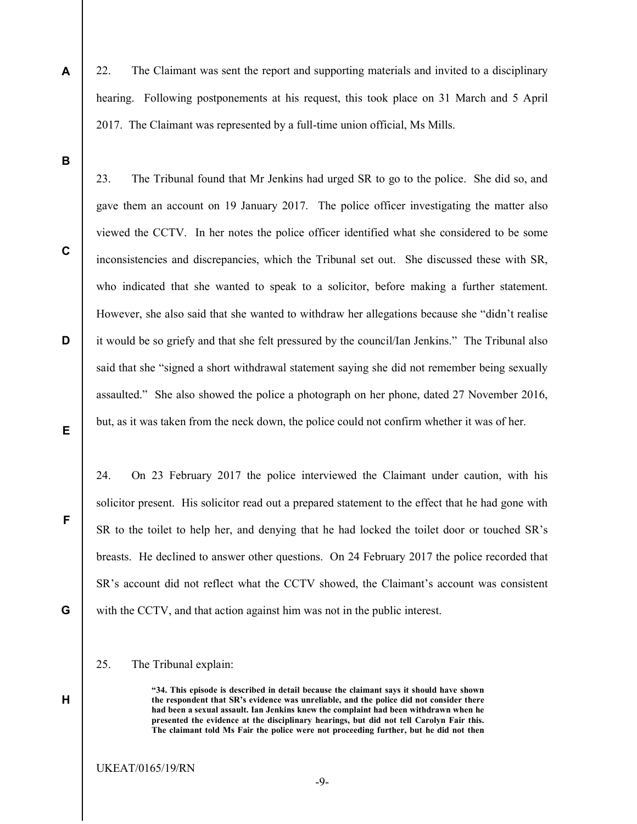22. The Claimant was sent the report and supporting materials and invited to a disciplinary hearing. Following postponements at his request, this took place on 31 March and 5 April 2017. The Claimant was represented by a full-time union official, Ms Mills.

B

A

C

D

E

23. The Tribunal found that Mr Jenkins had urged SR to go to the police. She did so, and gave them an account on 19 January 2017. The police officer investigating the matter also viewed the CCTV. In her notes the police officer identified what she considered to be some inconsistencies and discrepancies, which the Tribunal set out. She discussed these with SR, who indicated that she wanted to speak to a solicitor, before making a further statement. However, she also said that she wanted to withdraw her allegations because she "didn't realise it would be so griefy and that she felt pressured by the council/Ian Jenkins." The Tribunal also said that she "signed a short withdrawal statement saying she did not remember being sexually assaulted." She also showed the police a photograph on her phone, dated 27 November 2016, but, as it was taken from the neck down, the police could not confirm whether it was of her.

24. On 23 February 2017 the police interviewed the Claimant under caution, with his solicitor present. His solicitor read out a prepared statement to the effect that he had gone with SR to the toilet to help her, and denying that he had locked the toilet door or touched SR's breasts. He declined to answer other questions. On 24 February 2017 the police recorded that SR's account did not reflect what the CCTV showed, the Claimant's account was consistent with the CCTV, and that action against him was not in the public interest.

G

H

F

25. The Tribunal explain:

"34. This episode is described in detail because the claimant says it should have shown the respondent that SR's evidence was unreliable, and the police did not consider there had been a sexual assault. Ian Jenkins knew the complaint had been withdrawn when he presented the evidence at the disciplinary hearings, but did not tell Carolyn Fair this. The claimant told Ms Fair the police were not proceeding further, but he did not then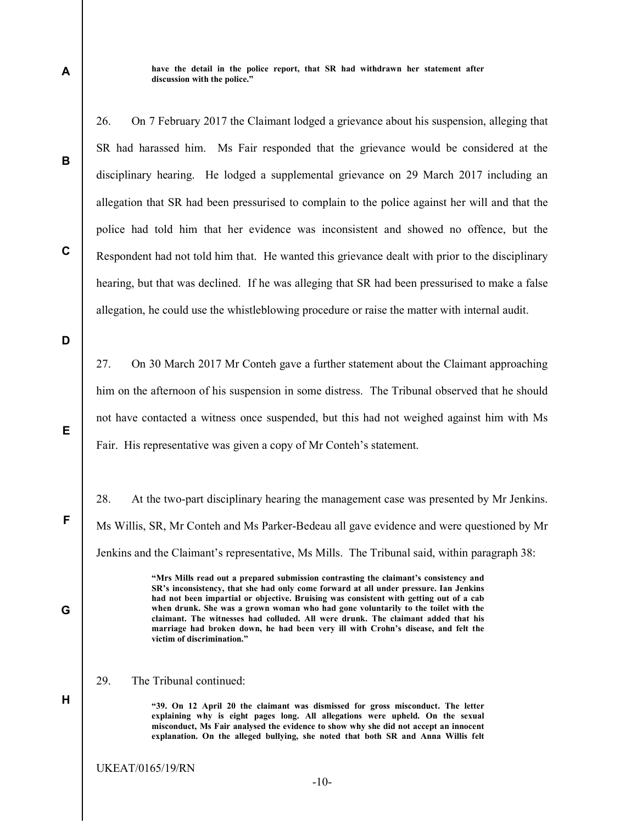have the detail in the police report, that SR had withdrawn her statement after discussion with the police."

26. On 7 February 2017 the Claimant lodged a grievance about his suspension, alleging that SR had harassed him. Ms Fair responded that the grievance would be considered at the disciplinary hearing. He lodged a supplemental grievance on 29 March 2017 including an allegation that SR had been pressurised to complain to the police against her will and that the police had told him that her evidence was inconsistent and showed no offence, but the Respondent had not told him that. He wanted this grievance dealt with prior to the disciplinary hearing, but that was declined. If he was alleging that SR had been pressurised to make a false allegation, he could use the whistleblowing procedure or raise the matter with internal audit.

D

E

F

G

H

A

B

C

27. On 30 March 2017 Mr Conteh gave a further statement about the Claimant approaching him on the afternoon of his suspension in some distress. The Tribunal observed that he should not have contacted a witness once suspended, but this had not weighed against him with Ms Fair. His representative was given a copy of Mr Conteh's statement.

28. At the two-part disciplinary hearing the management case was presented by Mr Jenkins. Ms Willis, SR, Mr Conteh and Ms Parker-Bedeau all gave evidence and were questioned by Mr Jenkins and the Claimant's representative, Ms Mills. The Tribunal said, within paragraph 38:

> "Mrs Mills read out a prepared submission contrasting the claimant's consistency and SR's inconsistency, that she had only come forward at all under pressure. Ian Jenkins had not been impartial or objective. Bruising was consistent with getting out of a cab when drunk. She was a grown woman who had gone voluntarily to the toilet with the claimant. The witnesses had colluded. All were drunk. The claimant added that his marriage had broken down, he had been very ill with Crohn's disease, and felt the victim of discrimination."

29. The Tribunal continued:

"39. On 12 April 20 the claimant was dismissed for gross misconduct. The letter explaining why is eight pages long. All allegations were upheld. On the sexual misconduct, Ms Fair analysed the evidence to show why she did not accept an innocent explanation. On the alleged bullying, she noted that both SR and Anna Willis felt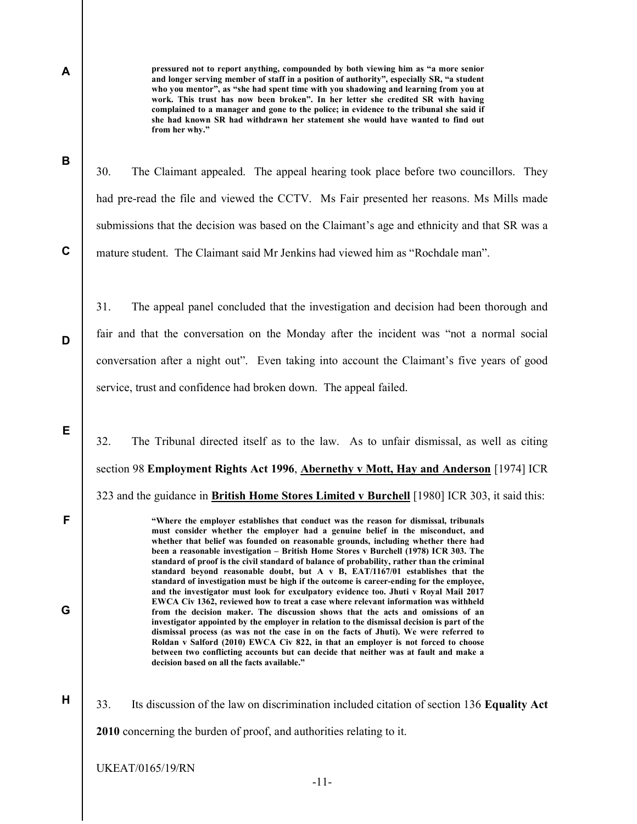A

B

pressured not to report anything, compounded by both viewing him as "a more senior and longer serving member of staff in a position of authority", especially SR, "a student who you mentor", as "she had spent time with you shadowing and learning from you at work. This trust has now been broken". In her letter she credited SR with having complained to a manager and gone to the police; in evidence to the tribunal she said if she had known SR had withdrawn her statement she would have wanted to find out from her why."

C

D

E

F

G

H

30. The Claimant appealed. The appeal hearing took place before two councillors. They had pre-read the file and viewed the CCTV. Ms Fair presented her reasons. Ms Mills made submissions that the decision was based on the Claimant's age and ethnicity and that SR was a mature student. The Claimant said Mr Jenkins had viewed him as "Rochdale man".

31. The appeal panel concluded that the investigation and decision had been thorough and fair and that the conversation on the Monday after the incident was "not a normal social conversation after a night out". Even taking into account the Claimant's five years of good service, trust and confidence had broken down. The appeal failed.

32. The Tribunal directed itself as to the law. As to unfair dismissal, as well as citing section 98 Employment Rights Act 1996, Abernethy v Mott, Hay and Anderson [1974] ICR 323 and the guidance in **British Home Stores Limited v Burchell** [1980] ICR 303, it said this:

> "Where the employer establishes that conduct was the reason for dismissal, tribunals must consider whether the employer had a genuine belief in the misconduct, and whether that belief was founded on reasonable grounds, including whether there had been a reasonable investigation – British Home Stores v Burchell (1978) ICR 303. The standard of proof is the civil standard of balance of probability, rather than the criminal standard beyond reasonable doubt, but A v B, EAT/1167/01 establishes that the standard of investigation must be high if the outcome is career-ending for the employee, and the investigator must look for exculpatory evidence too. Jhuti v Royal Mail 2017 EWCA Civ 1362, reviewed how to treat a case where relevant information was withheld from the decision maker. The discussion shows that the acts and omissions of an investigator appointed by the employer in relation to the dismissal decision is part of the dismissal process (as was not the case in on the facts of Jhuti). We were referred to Roldan v Salford (2010) EWCA Civ 822, in that an employer is not forced to choose between two conflicting accounts but can decide that neither was at fault and make a decision based on all the facts available."

33. Its discussion of the law on discrimination included citation of section 136 Equality Act 2010 concerning the burden of proof, and authorities relating to it.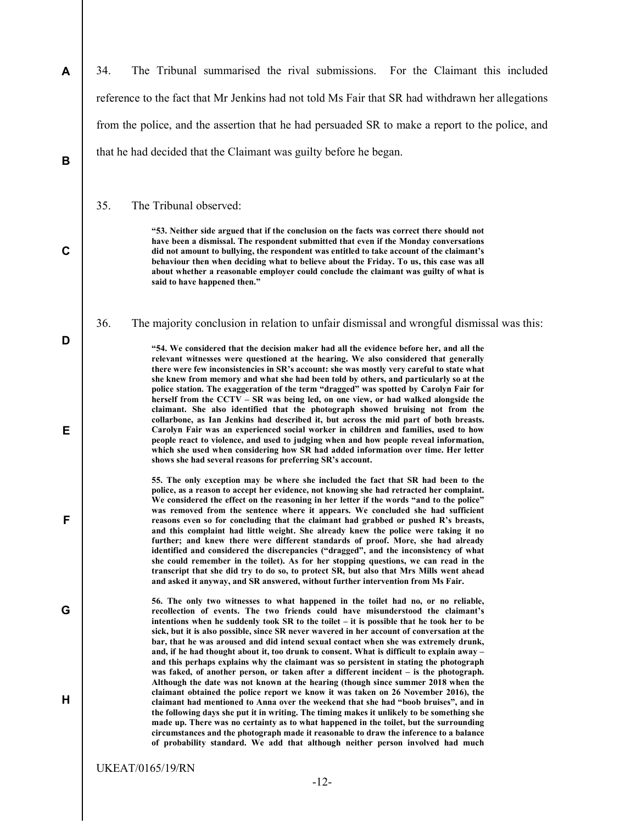A B C D E F G H 34. The Tribunal summarised the rival submissions. For the Claimant this included reference to the fact that Mr Jenkins had not told Ms Fair that SR had withdrawn her allegations from the police, and the assertion that he had persuaded SR to make a report to the police, and that he had decided that the Claimant was guilty before he began. 35. The Tribunal observed: "53. Neither side argued that if the conclusion on the facts was correct there should not have been a dismissal. The respondent submitted that even if the Monday conversations did not amount to bullying, the respondent was entitled to take account of the claimant's behaviour then when deciding what to believe about the Friday. To us, this case was all about whether a reasonable employer could conclude the claimant was guilty of what is said to have happened then." 36. The majority conclusion in relation to unfair dismissal and wrongful dismissal was this: "54. We considered that the decision maker had all the evidence before her, and all the relevant witnesses were questioned at the hearing. We also considered that generally there were few inconsistencies in SR's account: she was mostly very careful to state what she knew from memory and what she had been told by others, and particularly so at the police station. The exaggeration of the term "dragged" was spotted by Carolyn Fair for herself from the CCTV – SR was being led, on one view, or had walked alongside the claimant. She also identified that the photograph showed bruising not from the collarbone, as Ian Jenkins had described it, but across the mid part of both breasts. Carolyn Fair was an experienced social worker in children and families, used to how people react to violence, and used to judging when and how people reveal information, which she used when considering how SR had added information over time. Her letter shows she had several reasons for preferring SR's account. 55. The only exception may be where she included the fact that SR had been to the police, as a reason to accept her evidence, not knowing she had retracted her complaint. We considered the effect on the reasoning in her letter if the words "and to the police" was removed from the sentence where it appears. We concluded she had sufficient reasons even so for concluding that the claimant had grabbed or pushed R's breasts, and this complaint had little weight. She already knew the police were taking it no further; and knew there were different standards of proof. More, she had already identified and considered the discrepancies ("dragged", and the inconsistency of what she could remember in the toilet). As for her stopping questions, we can read in the transcript that she did try to do so, to protect SR, but also that Mrs Mills went ahead and asked it anyway, and SR answered, without further intervention from Ms Fair. 56. The only two witnesses to what happened in the toilet had no, or no reliable, recollection of events. The two friends could have misunderstood the claimant's intentions when he suddenly took SR to the toilet – it is possible that he took her to be sick, but it is also possible, since SR never wavered in her account of conversation at the bar, that he was aroused and did intend sexual contact when she was extremely drunk, and, if he had thought about it, too drunk to consent. What is difficult to explain away – and this perhaps explains why the claimant was so persistent in stating the photograph was faked, of another person, or taken after a different incident – is the photograph. Although the date was not known at the hearing (though since summer 2018 when the claimant obtained the police report we know it was taken on 26 November 2016), the claimant had mentioned to Anna over the weekend that she had "boob bruises", and in the following days she put it in writing. The timing makes it unlikely to be something she made up. There was no certainty as to what happened in the toilet, but the surrounding circumstances and the photograph made it reasonable to draw the inference to a balance of probability standard. We add that although neither person involved had much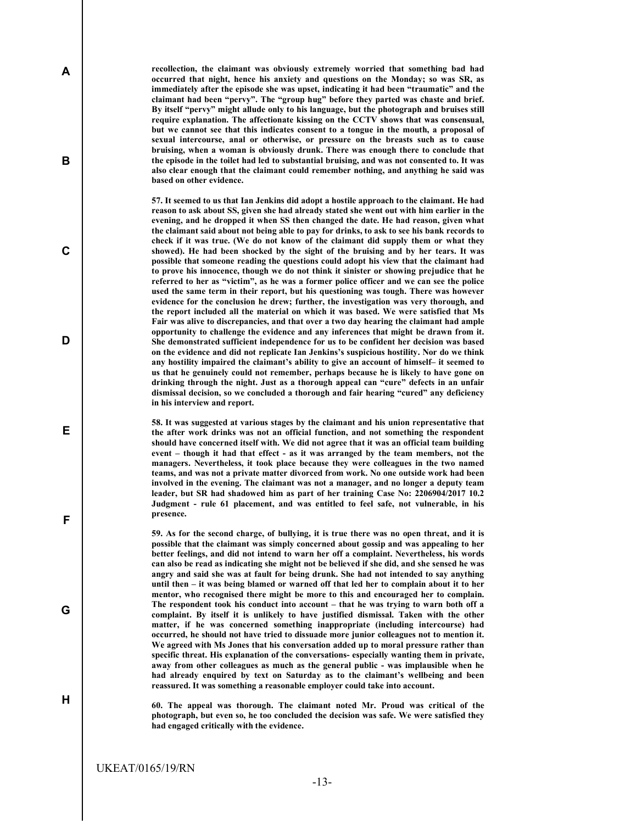recollection, the claimant was obviously extremely worried that something bad had occurred that night, hence his anxiety and questions on the Monday; so was SR, as immediately after the episode she was upset, indicating it had been "traumatic" and the claimant had been "pervy". The "group hug" before they parted was chaste and brief. By itself "pervy" might allude only to his language, but the photograph and bruises still require explanation. The affectionate kissing on the CCTV shows that was consensual, but we cannot see that this indicates consent to a tongue in the mouth, a proposal of sexual intercourse, anal or otherwise, or pressure on the breasts such as to cause bruising, when a woman is obviously drunk. There was enough there to conclude that the episode in the toilet had led to substantial bruising, and was not consented to. It was also clear enough that the claimant could remember nothing, and anything he said was based on other evidence.

57. It seemed to us that Ian Jenkins did adopt a hostile approach to the claimant. He had reason to ask about SS, given she had already stated she went out with him earlier in the evening, and he dropped it when SS then changed the date. He had reason, given what the claimant said about not being able to pay for drinks, to ask to see his bank records to check if it was true. (We do not know of the claimant did supply them or what they showed). He had been shocked by the sight of the bruising and by her tears. It was possible that someone reading the questions could adopt his view that the claimant had to prove his innocence, though we do not think it sinister or showing prejudice that he referred to her as "victim", as he was a former police officer and we can see the police used the same term in their report, but his questioning was tough. There was however evidence for the conclusion he drew; further, the investigation was very thorough, and the report included all the material on which it was based. We were satisfied that Ms Fair was alive to discrepancies, and that over a two day hearing the claimant had ample opportunity to challenge the evidence and any inferences that might be drawn from it. She demonstrated sufficient independence for us to be confident her decision was based on the evidence and did not replicate Ian Jenkins's suspicious hostility. Nor do we think any hostility impaired the claimant's ability to give an account of himself– it seemed to us that he genuinely could not remember, perhaps because he is likely to have gone on drinking through the night. Just as a thorough appeal can "cure" defects in an unfair dismissal decision, so we concluded a thorough and fair hearing "cured" any deficiency in his interview and report.

58. It was suggested at various stages by the claimant and his union representative that the after work drinks was not an official function, and not something the respondent should have concerned itself with. We did not agree that it was an official team building event – though it had that effect - as it was arranged by the team members, not the managers. Nevertheless, it took place because they were colleagues in the two named teams, and was not a private matter divorced from work. No one outside work had been involved in the evening. The claimant was not a manager, and no longer a deputy team leader, but SR had shadowed him as part of her training Case No: 2206904/2017 10.2 Judgment - rule 61 placement, and was entitled to feel safe, not vulnerable, in his presence.

59. As for the second charge, of bullying, it is true there was no open threat, and it is possible that the claimant was simply concerned about gossip and was appealing to her better feelings, and did not intend to warn her off a complaint. Nevertheless, his words can also be read as indicating she might not be believed if she did, and she sensed he was angry and said she was at fault for being drunk. She had not intended to say anything until then – it was being blamed or warned off that led her to complain about it to her mentor, who recognised there might be more to this and encouraged her to complain. The respondent took his conduct into account – that he was trying to warn both off a complaint. By itself it is unlikely to have justified dismissal. Taken with the other matter, if he was concerned something inappropriate (including intercourse) had occurred, he should not have tried to dissuade more junior colleagues not to mention it. We agreed with Ms Jones that his conversation added up to moral pressure rather than specific threat. His explanation of the conversations- especially wanting them in private, away from other colleagues as much as the general public - was implausible when he had already enquired by text on Saturday as to the claimant's wellbeing and been reassured. It was something a reasonable employer could take into account.

60. The appeal was thorough. The claimant noted Mr. Proud was critical of the photograph, but even so, he too concluded the decision was safe. We were satisfied they had engaged critically with the evidence.

A

B

C

D

E

F

G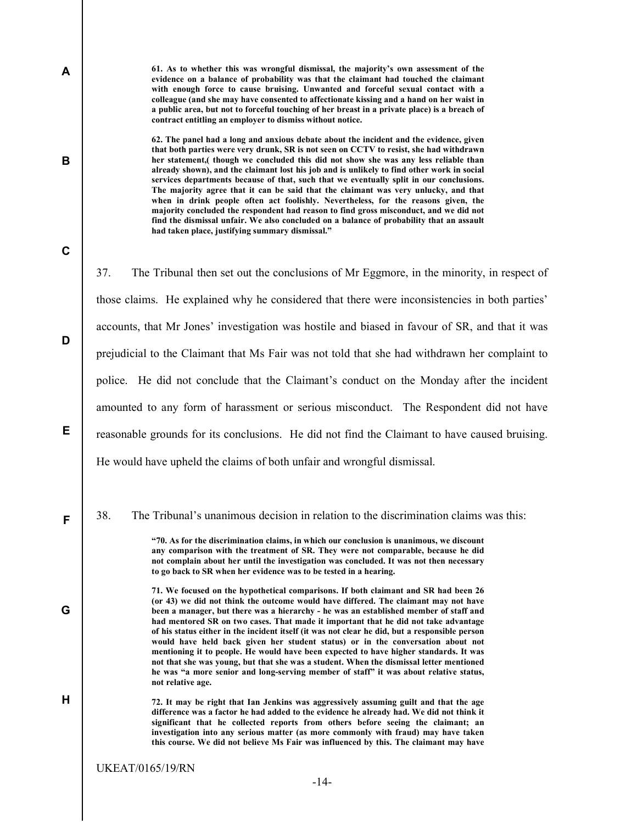61. As to whether this was wrongful dismissal, the majority's own assessment of the evidence on a balance of probability was that the claimant had touched the claimant with enough force to cause bruising. Unwanted and forceful sexual contact with a colleague (and she may have consented to affectionate kissing and a hand on her waist in a public area, but not to forceful touching of her breast in a private place) is a breach of contract entitling an employer to dismiss without notice.

62. The panel had a long and anxious debate about the incident and the evidence, given that both parties were very drunk, SR is not seen on CCTV to resist, she had withdrawn her statement,( though we concluded this did not show she was any less reliable than already shown), and the claimant lost his job and is unlikely to find other work in social services departments because of that, such that we eventually split in our conclusions. The majority agree that it can be said that the claimant was very unlucky, and that when in drink people often act foolishly. Nevertheless, for the reasons given, the majority concluded the respondent had reason to find gross misconduct, and we did not find the dismissal unfair. We also concluded on a balance of probability that an assault had taken place, justifying summary dismissal."

37. The Tribunal then set out the conclusions of Mr Eggmore, in the minority, in respect of those claims. He explained why he considered that there were inconsistencies in both parties' accounts, that Mr Jones' investigation was hostile and biased in favour of SR, and that it was prejudicial to the Claimant that Ms Fair was not told that she had withdrawn her complaint to police. He did not conclude that the Claimant's conduct on the Monday after the incident amounted to any form of harassment or serious misconduct. The Respondent did not have reasonable grounds for its conclusions. He did not find the Claimant to have caused bruising. He would have upheld the claims of both unfair and wrongful dismissal.

38. The Tribunal's unanimous decision in relation to the discrimination claims was this:

"70. As for the discrimination claims, in which our conclusion is unanimous, we discount any comparison with the treatment of SR. They were not comparable, because he did not complain about her until the investigation was concluded. It was not then necessary to go back to SR when her evidence was to be tested in a hearing.

71. We focused on the hypothetical comparisons. If both claimant and SR had been 26 (or 43) we did not think the outcome would have differed. The claimant may not have been a manager, but there was a hierarchy - he was an established member of staff and had mentored SR on two cases. That made it important that he did not take advantage of his status either in the incident itself (it was not clear he did, but a responsible person would have held back given her student status) or in the conversation about not mentioning it to people. He would have been expected to have higher standards. It was not that she was young, but that she was a student. When the dismissal letter mentioned he was "a more senior and long-serving member of staff" it was about relative status, not relative age.

72. It may be right that Ian Jenkins was aggressively assuming guilt and that the age difference was a factor he had added to the evidence he already had. We did not think it significant that he collected reports from others before seeing the claimant; an investigation into any serious matter (as more commonly with fraud) may have taken this course. We did not believe Ms Fair was influenced by this. The claimant may have

UKEAT/0165/19/RN

A

B

C

D

E

F

G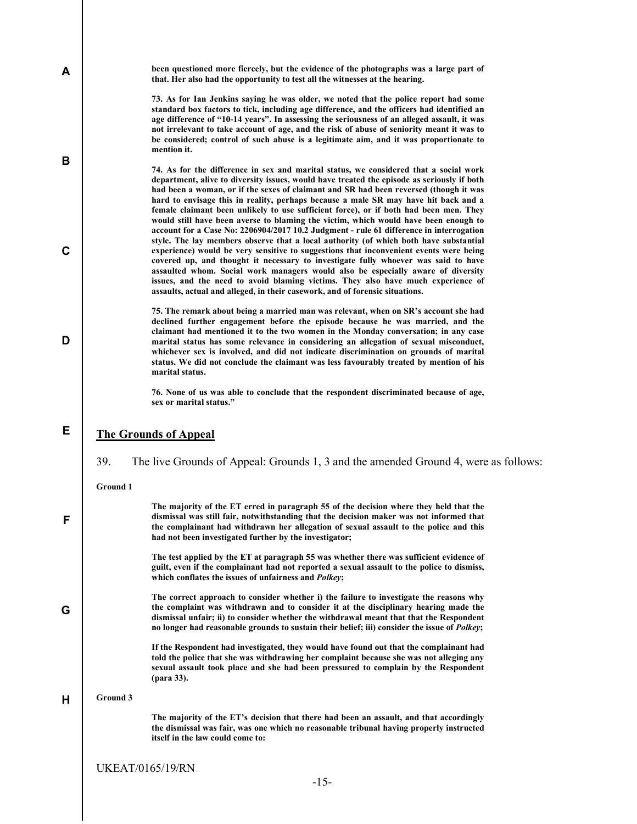| A           | been questioned more fiercely, but the evidence of the photographs was a large part of<br>that. Her also had the opportunity to test all the witnesses at the hearing.                                                                                                                                                                                                                                                                                                                                                                                                                                                   |
|-------------|--------------------------------------------------------------------------------------------------------------------------------------------------------------------------------------------------------------------------------------------------------------------------------------------------------------------------------------------------------------------------------------------------------------------------------------------------------------------------------------------------------------------------------------------------------------------------------------------------------------------------|
|             | 73. As for Ian Jenkins saying he was older, we noted that the police report had some<br>standard box factors to tick, including age difference, and the officers had identified an<br>age difference of "10-14 years". In assessing the seriousness of an alleged assault, it was<br>not irrelevant to take account of age, and the risk of abuse of seniority meant it was to<br>be considered; control of such abuse is a legitimate aim, and it was proportionate to<br>mention it.                                                                                                                                   |
| B           | 74. As for the difference in sex and marital status, we considered that a social work<br>department, alive to diversity issues, would have treated the episode as seriously if both<br>had been a woman, or if the sexes of claimant and SR had been reversed (though it was<br>hard to envisage this in reality, perhaps because a male SR may have hit back and a<br>female claimant been unlikely to use sufficient force), or if both had been men. They<br>would still have been averse to blaming the victim, which would have been enough to                                                                      |
| $\mathbf c$ | account for a Case No: 2206904/2017 10.2 Judgment - rule 61 difference in interrogation<br>style. The lay members observe that a local authority (of which both have substantial<br>experience) would be very sensitive to suggestions that inconvenient events were being<br>covered up, and thought it necessary to investigate fully whoever was said to have<br>assaulted whom. Social work managers would also be especially aware of diversity<br>issues, and the need to avoid blaming victims. They also have much experience of<br>assaults, actual and alleged, in their casework, and of forensic situations. |
| D           | 75. The remark about being a married man was relevant, when on SR's account she had<br>declined further engagement before the episode because he was married, and the<br>claimant had mentioned it to the two women in the Monday conversation; in any case<br>marital status has some relevance in considering an allegation of sexual misconduct,<br>whichever sex is involved, and did not indicate discrimination on grounds of marital<br>status. We did not conclude the claimant was less favourably treated by mention of his<br>marital status.                                                                 |
|             | 76. None of us was able to conclude that the respondent discriminated because of age,<br>sex or marital status."                                                                                                                                                                                                                                                                                                                                                                                                                                                                                                         |
| Е           | <b>The Grounds of Appeal</b>                                                                                                                                                                                                                                                                                                                                                                                                                                                                                                                                                                                             |
|             | 39.<br>The live Grounds of Appeal: Grounds 1, 3 and the amended Ground 4, were as follows:                                                                                                                                                                                                                                                                                                                                                                                                                                                                                                                               |
|             | <b>Ground 1</b>                                                                                                                                                                                                                                                                                                                                                                                                                                                                                                                                                                                                          |
| F           | The majority of the ET erred in paragraph 55 of the decision where they held that the<br>dismissal was still fair, notwithstanding that the decision maker was not informed that<br>the complainant had withdrawn her allegation of sexual assault to the police and this<br>had not been investigated further by the investigator;                                                                                                                                                                                                                                                                                      |
|             | The test applied by the ET at paragraph 55 was whether there was sufficient evidence of<br>guilt, even if the complainant had not reported a sexual assault to the police to dismiss,<br>which conflates the issues of unfairness and Polkey;                                                                                                                                                                                                                                                                                                                                                                            |
| G           | The correct approach to consider whether i) the failure to investigate the reasons why<br>the complaint was withdrawn and to consider it at the disciplinary hearing made the<br>dismissal unfair; ii) to consider whether the withdrawal meant that that the Respondent<br>no longer had reasonable grounds to sustain their belief; iii) consider the issue of <i>Polkey</i> ;                                                                                                                                                                                                                                         |
|             | If the Respondent had investigated, they would have found out that the complainant had<br>told the police that she was withdrawing her complaint because she was not alleging any<br>sexual assault took place and she had been pressured to complain by the Respondent<br>(para 33).                                                                                                                                                                                                                                                                                                                                    |
| н           | Ground 3                                                                                                                                                                                                                                                                                                                                                                                                                                                                                                                                                                                                                 |
|             | The majority of the ET's decision that there had been an assault, and that accordingly<br>the dismissal was fair, was one which no reasonable tribunal having properly instructed<br>itself in the law could come to:                                                                                                                                                                                                                                                                                                                                                                                                    |
|             | <b>UKEAT/0165/19/RN</b>                                                                                                                                                                                                                                                                                                                                                                                                                                                                                                                                                                                                  |
|             | $-15-$                                                                                                                                                                                                                                                                                                                                                                                                                                                                                                                                                                                                                   |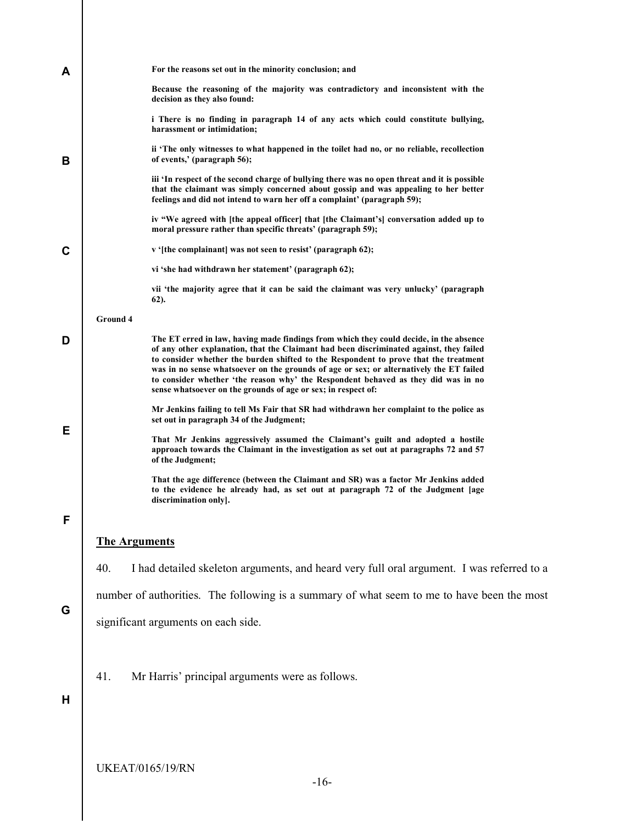| A | For the reasons set out in the minority conclusion; and                                                                                                                                                                                                                                                                                                                                                                                                                                                                    |
|---|----------------------------------------------------------------------------------------------------------------------------------------------------------------------------------------------------------------------------------------------------------------------------------------------------------------------------------------------------------------------------------------------------------------------------------------------------------------------------------------------------------------------------|
|   | Because the reasoning of the majority was contradictory and inconsistent with the<br>decision as they also found:                                                                                                                                                                                                                                                                                                                                                                                                          |
|   | i There is no finding in paragraph 14 of any acts which could constitute bullying,<br>harassment or intimidation;                                                                                                                                                                                                                                                                                                                                                                                                          |
| в | ii 'The only witnesses to what happened in the toilet had no, or no reliable, recollection<br>of events,' (paragraph 56);                                                                                                                                                                                                                                                                                                                                                                                                  |
|   | iii 'In respect of the second charge of bullying there was no open threat and it is possible<br>that the claimant was simply concerned about gossip and was appealing to her better<br>feelings and did not intend to warn her off a complaint' (paragraph 59);                                                                                                                                                                                                                                                            |
|   | iv "We agreed with [the appeal officer] that [the Claimant's] conversation added up to<br>moral pressure rather than specific threats' (paragraph 59);                                                                                                                                                                                                                                                                                                                                                                     |
| C | v '[the complainant] was not seen to resist' (paragraph 62);                                                                                                                                                                                                                                                                                                                                                                                                                                                               |
|   | vi 'she had withdrawn her statement' (paragraph 62);                                                                                                                                                                                                                                                                                                                                                                                                                                                                       |
|   | vii 'the majority agree that it can be said the claimant was very unlucky' (paragraph<br>$62$ ).                                                                                                                                                                                                                                                                                                                                                                                                                           |
|   | <b>Ground 4</b>                                                                                                                                                                                                                                                                                                                                                                                                                                                                                                            |
| D | The ET erred in law, having made findings from which they could decide, in the absence<br>of any other explanation, that the Claimant had been discriminated against, they failed<br>to consider whether the burden shifted to the Respondent to prove that the treatment<br>was in no sense whatsoever on the grounds of age or sex; or alternatively the ET failed<br>to consider whether 'the reason why' the Respondent behaved as they did was in no<br>sense whatsoever on the grounds of age or sex; in respect of: |
|   | Mr Jenkins failing to tell Ms Fair that SR had withdrawn her complaint to the police as<br>set out in paragraph 34 of the Judgment;                                                                                                                                                                                                                                                                                                                                                                                        |
| Е | That Mr Jenkins aggressively assumed the Claimant's guilt and adopted a hostile<br>approach towards the Claimant in the investigation as set out at paragraphs 72 and 57<br>of the Judgment;                                                                                                                                                                                                                                                                                                                               |
|   | That the age difference (between the Claimant and SR) was a factor Mr Jenkins added<br>to the evidence he already had, as set out at paragraph 72 of the Judgment [age<br>discrimination only].                                                                                                                                                                                                                                                                                                                            |
| F |                                                                                                                                                                                                                                                                                                                                                                                                                                                                                                                            |
|   | <b>The Arguments</b>                                                                                                                                                                                                                                                                                                                                                                                                                                                                                                       |
|   | 40.<br>I had detailed skeleton arguments, and heard very full oral argument. I was referred to a                                                                                                                                                                                                                                                                                                                                                                                                                           |
|   | number of authorities. The following is a summary of what seem to me to have been the most                                                                                                                                                                                                                                                                                                                                                                                                                                 |
| G | significant arguments on each side.                                                                                                                                                                                                                                                                                                                                                                                                                                                                                        |
|   |                                                                                                                                                                                                                                                                                                                                                                                                                                                                                                                            |
|   | Mr Harris' principal arguments were as follows.<br>41.                                                                                                                                                                                                                                                                                                                                                                                                                                                                     |
| н |                                                                                                                                                                                                                                                                                                                                                                                                                                                                                                                            |
|   |                                                                                                                                                                                                                                                                                                                                                                                                                                                                                                                            |
|   |                                                                                                                                                                                                                                                                                                                                                                                                                                                                                                                            |
|   |                                                                                                                                                                                                                                                                                                                                                                                                                                                                                                                            |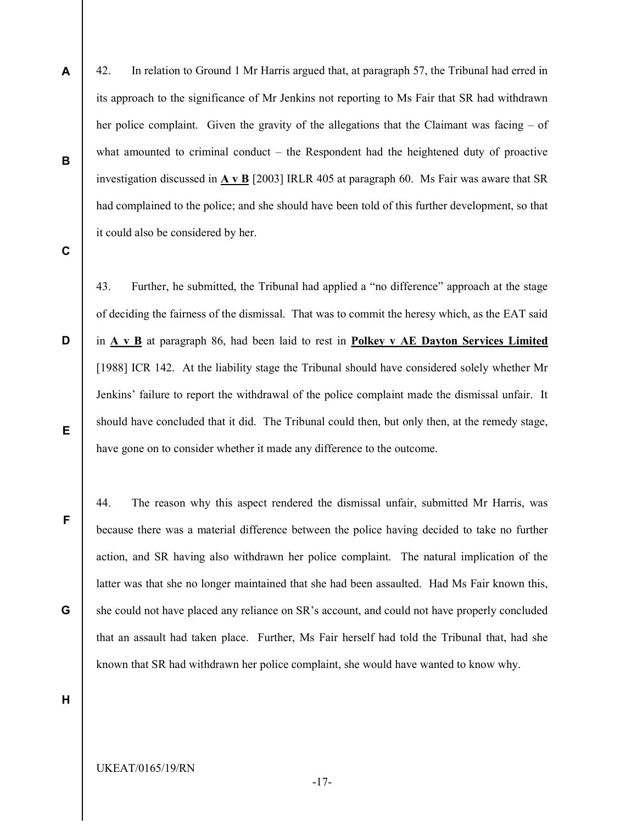42. In relation to Ground 1 Mr Harris argued that, at paragraph 57, the Tribunal had erred in its approach to the significance of Mr Jenkins not reporting to Ms Fair that SR had withdrawn her police complaint. Given the gravity of the allegations that the Claimant was facing – of what amounted to criminal conduct – the Respondent had the heightened duty of proactive investigation discussed in  $\overline{A}$  v  $\overline{B}$  [2003] IRLR 405 at paragraph 60. Ms Fair was aware that SR had complained to the police; and she should have been told of this further development, so that it could also be considered by her.

C

D

E

F

G

A

B

43. Further, he submitted, the Tribunal had applied a "no difference" approach at the stage of deciding the fairness of the dismissal. That was to commit the heresy which, as the EAT said in A v B at paragraph 86, had been laid to rest in Polkey v AE Dayton Services Limited [1988] ICR 142. At the liability stage the Tribunal should have considered solely whether Mr Jenkins' failure to report the withdrawal of the police complaint made the dismissal unfair. It should have concluded that it did. The Tribunal could then, but only then, at the remedy stage, have gone on to consider whether it made any difference to the outcome.

44. The reason why this aspect rendered the dismissal unfair, submitted Mr Harris, was because there was a material difference between the police having decided to take no further action, and SR having also withdrawn her police complaint. The natural implication of the latter was that she no longer maintained that she had been assaulted. Had Ms Fair known this, she could not have placed any reliance on SR's account, and could not have properly concluded that an assault had taken place. Further, Ms Fair herself had told the Tribunal that, had she known that SR had withdrawn her police complaint, she would have wanted to know why.

H

UKEAT/0165/19/RN

-17-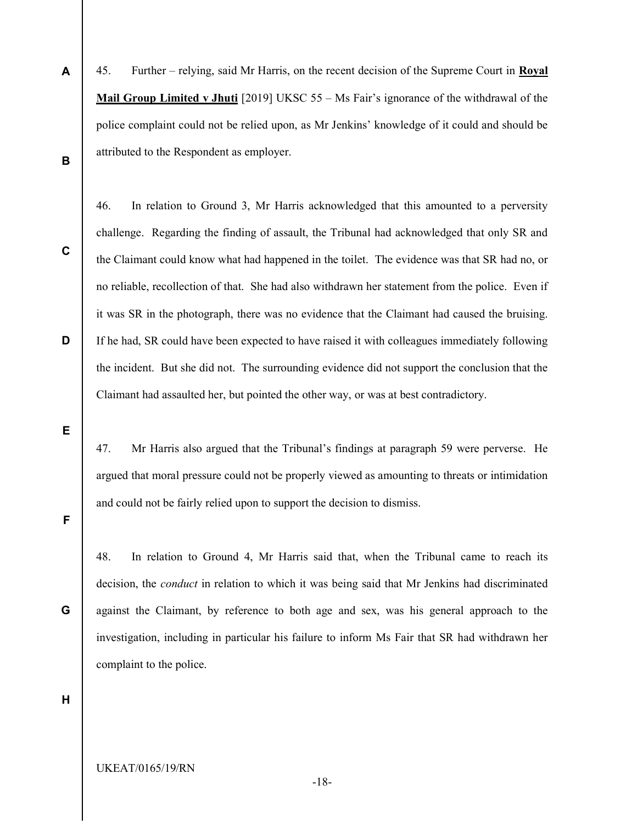A B 45. Further – relying, said Mr Harris, on the recent decision of the Supreme Court in Royal Mail Group Limited v Jhuti [2019] UKSC 55 – Ms Fair's ignorance of the withdrawal of the police complaint could not be relied upon, as Mr Jenkins' knowledge of it could and should be attributed to the Respondent as employer.

C

D

challenge. Regarding the finding of assault, the Tribunal had acknowledged that only SR and the Claimant could know what had happened in the toilet. The evidence was that SR had no, or no reliable, recollection of that. She had also withdrawn her statement from the police. Even if it was SR in the photograph, there was no evidence that the Claimant had caused the bruising. If he had, SR could have been expected to have raised it with colleagues immediately following the incident. But she did not. The surrounding evidence did not support the conclusion that the Claimant had assaulted her, but pointed the other way, or was at best contradictory.

46. In relation to Ground 3, Mr Harris acknowledged that this amounted to a perversity

E

47. Mr Harris also argued that the Tribunal's findings at paragraph 59 were perverse. He argued that moral pressure could not be properly viewed as amounting to threats or intimidation and could not be fairly relied upon to support the decision to dismiss.

F

48. In relation to Ground 4, Mr Harris said that, when the Tribunal came to reach its decision, the conduct in relation to which it was being said that Mr Jenkins had discriminated against the Claimant, by reference to both age and sex, was his general approach to the investigation, including in particular his failure to inform Ms Fair that SR had withdrawn her complaint to the police.

H

G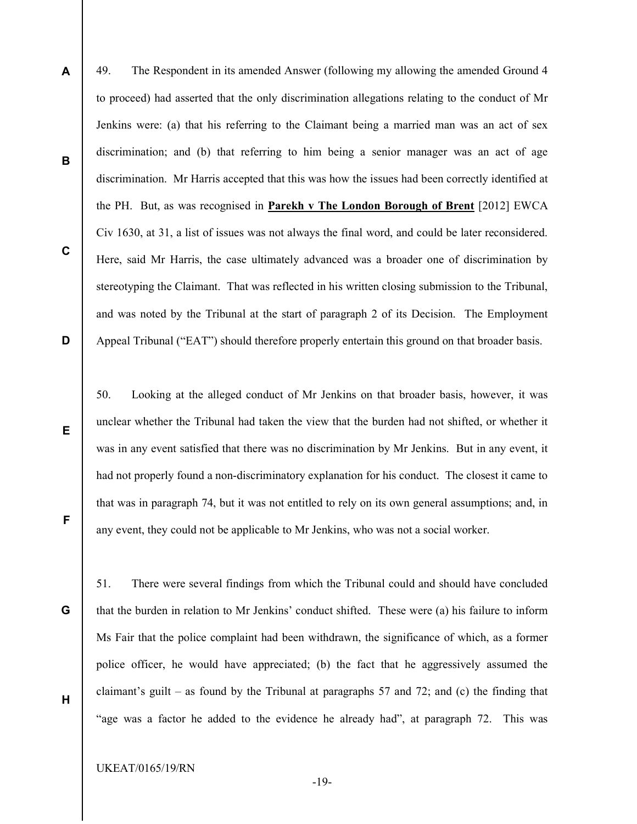A

B

C

D

E

49. The Respondent in its amended Answer (following my allowing the amended Ground 4 to proceed) had asserted that the only discrimination allegations relating to the conduct of Mr Jenkins were: (a) that his referring to the Claimant being a married man was an act of sex discrimination; and (b) that referring to him being a senior manager was an act of age discrimination. Mr Harris accepted that this was how the issues had been correctly identified at the PH. But, as was recognised in Parekh v The London Borough of Brent [2012] EWCA Civ 1630, at 31, a list of issues was not always the final word, and could be later reconsidered. Here, said Mr Harris, the case ultimately advanced was a broader one of discrimination by stereotyping the Claimant. That was reflected in his written closing submission to the Tribunal, and was noted by the Tribunal at the start of paragraph 2 of its Decision. The Employment Appeal Tribunal ("EAT") should therefore properly entertain this ground on that broader basis.

50. Looking at the alleged conduct of Mr Jenkins on that broader basis, however, it was unclear whether the Tribunal had taken the view that the burden had not shifted, or whether it was in any event satisfied that there was no discrimination by Mr Jenkins. But in any event, it had not properly found a non-discriminatory explanation for his conduct. The closest it came to that was in paragraph 74, but it was not entitled to rely on its own general assumptions; and, in any event, they could not be applicable to Mr Jenkins, who was not a social worker.

G

H

F

51. There were several findings from which the Tribunal could and should have concluded that the burden in relation to Mr Jenkins' conduct shifted. These were (a) his failure to inform Ms Fair that the police complaint had been withdrawn, the significance of which, as a former police officer, he would have appreciated; (b) the fact that he aggressively assumed the claimant's guilt – as found by the Tribunal at paragraphs 57 and 72; and (c) the finding that "age was a factor he added to the evidence he already had", at paragraph 72. This was

UKEAT/0165/19/RN

-19-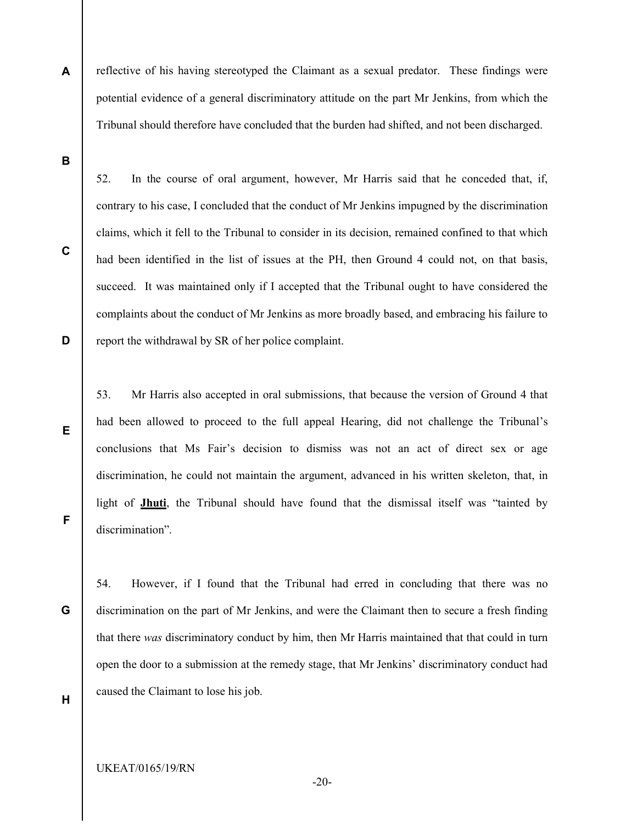A reflective of his having stereotyped the Claimant as a sexual predator. These findings were potential evidence of a general discriminatory attitude on the part Mr Jenkins, from which the Tribunal should therefore have concluded that the burden had shifted, and not been discharged.

B

C

D

52. In the course of oral argument, however, Mr Harris said that he conceded that, if, contrary to his case, I concluded that the conduct of Mr Jenkins impugned by the discrimination claims, which it fell to the Tribunal to consider in its decision, remained confined to that which had been identified in the list of issues at the PH, then Ground 4 could not, on that basis, succeed. It was maintained only if I accepted that the Tribunal ought to have considered the complaints about the conduct of Mr Jenkins as more broadly based, and embracing his failure to report the withdrawal by SR of her police complaint.

53. Mr Harris also accepted in oral submissions, that because the version of Ground 4 that had been allowed to proceed to the full appeal Hearing, did not challenge the Tribunal's conclusions that Ms Fair's decision to dismiss was not an act of direct sex or age discrimination, he could not maintain the argument, advanced in his written skeleton, that, in light of Jhuti, the Tribunal should have found that the dismissal itself was "tainted by discrimination".

54. However, if I found that the Tribunal had erred in concluding that there was no discrimination on the part of Mr Jenkins, and were the Claimant then to secure a fresh finding that there was discriminatory conduct by him, then Mr Harris maintained that that could in turn open the door to a submission at the remedy stage, that Mr Jenkins' discriminatory conduct had caused the Claimant to lose his job.

F

E

G

H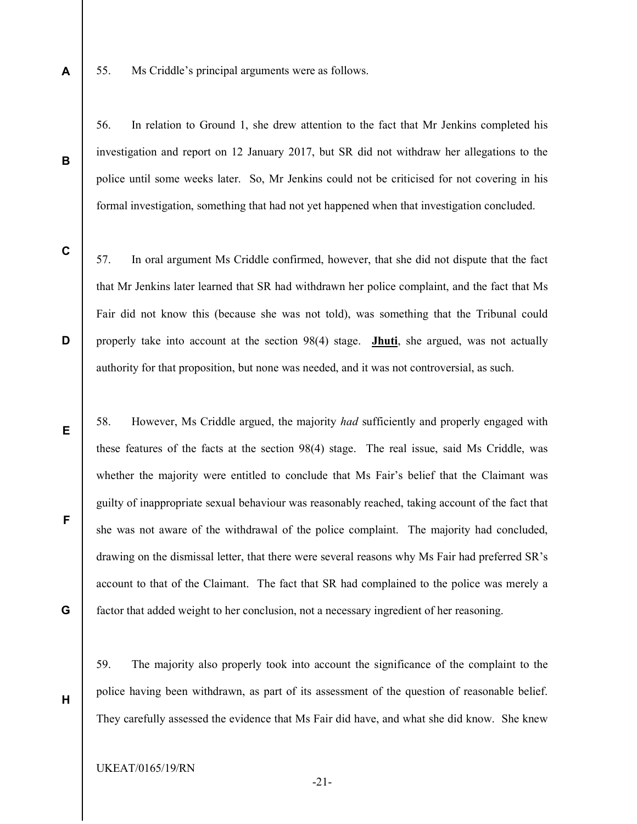55. Ms Criddle's principal arguments were as follows.

56. In relation to Ground 1, she drew attention to the fact that Mr Jenkins completed his investigation and report on 12 January 2017, but SR did not withdraw her allegations to the police until some weeks later. So, Mr Jenkins could not be criticised for not covering in his formal investigation, something that had not yet happened when that investigation concluded.

C

D

E

F

G

H

A

B

57. In oral argument Ms Criddle confirmed, however, that she did not dispute that the fact that Mr Jenkins later learned that SR had withdrawn her police complaint, and the fact that Ms Fair did not know this (because she was not told), was something that the Tribunal could properly take into account at the section 98(4) stage. Jhuti, she argued, was not actually authority for that proposition, but none was needed, and it was not controversial, as such.

58. However, Ms Criddle argued, the majority had sufficiently and properly engaged with these features of the facts at the section 98(4) stage. The real issue, said Ms Criddle, was whether the majority were entitled to conclude that Ms Fair's belief that the Claimant was guilty of inappropriate sexual behaviour was reasonably reached, taking account of the fact that she was not aware of the withdrawal of the police complaint. The majority had concluded, drawing on the dismissal letter, that there were several reasons why Ms Fair had preferred SR's account to that of the Claimant. The fact that SR had complained to the police was merely a factor that added weight to her conclusion, not a necessary ingredient of her reasoning.

59. The majority also properly took into account the significance of the complaint to the police having been withdrawn, as part of its assessment of the question of reasonable belief. They carefully assessed the evidence that Ms Fair did have, and what she did know. She knew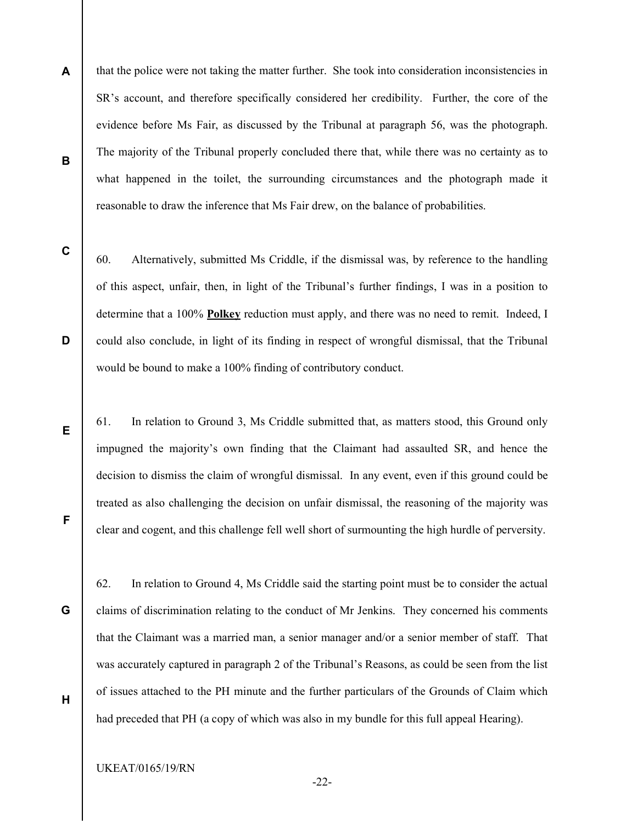A that the police were not taking the matter further. She took into consideration inconsistencies in SR's account, and therefore specifically considered her credibility. Further, the core of the evidence before Ms Fair, as discussed by the Tribunal at paragraph 56, was the photograph. The majority of the Tribunal properly concluded there that, while there was no certainty as to what happened in the toilet, the surrounding circumstances and the photograph made it reasonable to draw the inference that Ms Fair drew, on the balance of probabilities.

C

D

E

F

G

H

B

60. Alternatively, submitted Ms Criddle, if the dismissal was, by reference to the handling of this aspect, unfair, then, in light of the Tribunal's further findings, I was in a position to determine that a 100% **Polkey** reduction must apply, and there was no need to remit. Indeed, I could also conclude, in light of its finding in respect of wrongful dismissal, that the Tribunal would be bound to make a 100% finding of contributory conduct.

61. In relation to Ground 3, Ms Criddle submitted that, as matters stood, this Ground only impugned the majority's own finding that the Claimant had assaulted SR, and hence the decision to dismiss the claim of wrongful dismissal. In any event, even if this ground could be treated as also challenging the decision on unfair dismissal, the reasoning of the majority was clear and cogent, and this challenge fell well short of surmounting the high hurdle of perversity.

62. In relation to Ground 4, Ms Criddle said the starting point must be to consider the actual claims of discrimination relating to the conduct of Mr Jenkins. They concerned his comments that the Claimant was a married man, a senior manager and/or a senior member of staff. That was accurately captured in paragraph 2 of the Tribunal's Reasons, as could be seen from the list of issues attached to the PH minute and the further particulars of the Grounds of Claim which had preceded that PH (a copy of which was also in my bundle for this full appeal Hearing).

UKEAT/0165/19/RN

-22-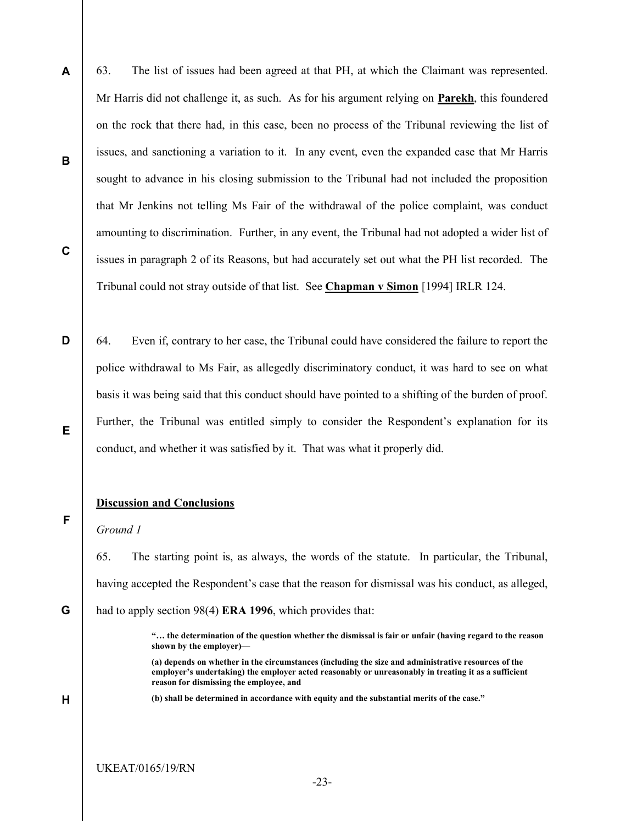- A B C 63. The list of issues had been agreed at that PH, at which the Claimant was represented. Mr Harris did not challenge it, as such. As for his argument relying on **Parekh**, this foundered on the rock that there had, in this case, been no process of the Tribunal reviewing the list of issues, and sanctioning a variation to it. In any event, even the expanded case that Mr Harris sought to advance in his closing submission to the Tribunal had not included the proposition that Mr Jenkins not telling Ms Fair of the withdrawal of the police complaint, was conduct amounting to discrimination. Further, in any event, the Tribunal had not adopted a wider list of issues in paragraph 2 of its Reasons, but had accurately set out what the PH list recorded. The Tribunal could not stray outside of that list. See Chapman v Simon [1994] IRLR 124.
- D E 64. Even if, contrary to her case, the Tribunal could have considered the failure to report the police withdrawal to Ms Fair, as allegedly discriminatory conduct, it was hard to see on what basis it was being said that this conduct should have pointed to a shifting of the burden of proof. Further, the Tribunal was entitled simply to consider the Respondent's explanation for its conduct, and whether it was satisfied by it. That was what it properly did.

### Discussion and Conclusions

Ground 1

F

H

65. The starting point is, as always, the words of the statute. In particular, the Tribunal, having accepted the Respondent's case that the reason for dismissal was his conduct, as alleged,

G had to apply section 98(4) **ERA 1996**, which provides that:

(b) shall be determined in accordance with equity and the substantial merits of the case."

<sup>&</sup>quot;… the determination of the question whether the dismissal is fair or unfair (having regard to the reason shown by the employer)—

<sup>(</sup>a) depends on whether in the circumstances (including the size and administrative resources of the employer's undertaking) the employer acted reasonably or unreasonably in treating it as a sufficient reason for dismissing the employee, and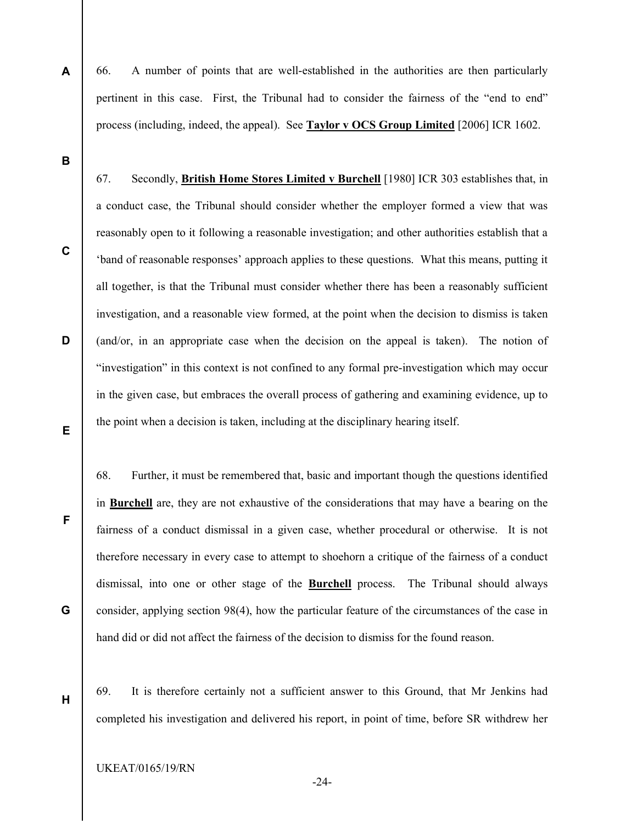66. A number of points that are well-established in the authorities are then particularly pertinent in this case. First, the Tribunal had to consider the fairness of the "end to end" process (including, indeed, the appeal). See **Taylor v OCS Group Limited** [2006] ICR 1602.

67. Secondly, British Home Stores Limited v Burchell [1980] ICR 303 establishes that, in

B

A

C

D

E

F

G

H

a conduct case, the Tribunal should consider whether the employer formed a view that was reasonably open to it following a reasonable investigation; and other authorities establish that a 'band of reasonable responses' approach applies to these questions. What this means, putting it all together, is that the Tribunal must consider whether there has been a reasonably sufficient investigation, and a reasonable view formed, at the point when the decision to dismiss is taken (and/or, in an appropriate case when the decision on the appeal is taken). The notion of "investigation" in this context is not confined to any formal pre-investigation which may occur in the given case, but embraces the overall process of gathering and examining evidence, up to the point when a decision is taken, including at the disciplinary hearing itself.

68. Further, it must be remembered that, basic and important though the questions identified in Burchell are, they are not exhaustive of the considerations that may have a bearing on the fairness of a conduct dismissal in a given case, whether procedural or otherwise. It is not therefore necessary in every case to attempt to shoehorn a critique of the fairness of a conduct dismissal, into one or other stage of the **Burchell** process. The Tribunal should always consider, applying section 98(4), how the particular feature of the circumstances of the case in hand did or did not affect the fairness of the decision to dismiss for the found reason.

69. It is therefore certainly not a sufficient answer to this Ground, that Mr Jenkins had completed his investigation and delivered his report, in point of time, before SR withdrew her

UKEAT/0165/19/RN

-24-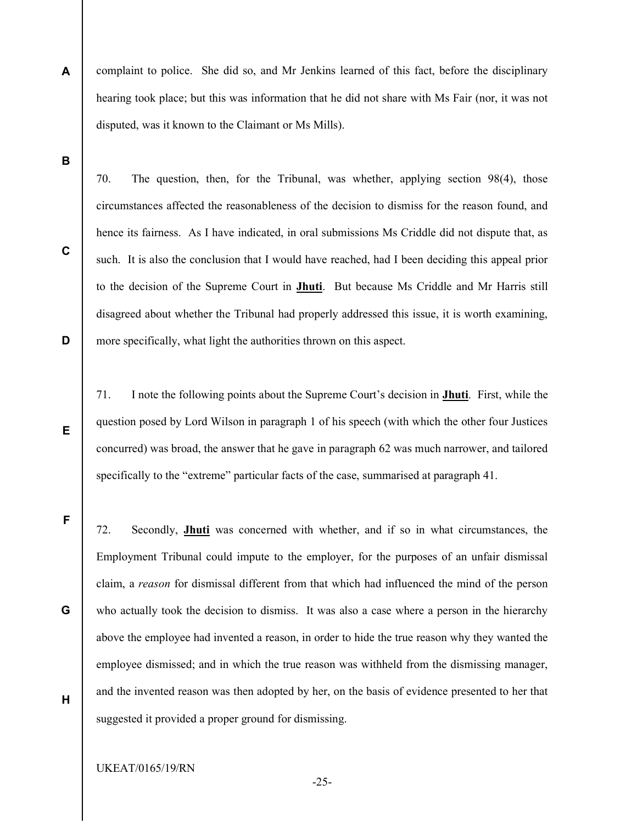A complaint to police. She did so, and Mr Jenkins learned of this fact, before the disciplinary hearing took place; but this was information that he did not share with Ms Fair (nor, it was not disputed, was it known to the Claimant or Ms Mills).

B

C

D

E

F

G

H

70. The question, then, for the Tribunal, was whether, applying section 98(4), those circumstances affected the reasonableness of the decision to dismiss for the reason found, and hence its fairness. As I have indicated, in oral submissions Ms Criddle did not dispute that, as such. It is also the conclusion that I would have reached, had I been deciding this appeal prior to the decision of the Supreme Court in Jhuti. But because Ms Criddle and Mr Harris still disagreed about whether the Tribunal had properly addressed this issue, it is worth examining, more specifically, what light the authorities thrown on this aspect.

71. I note the following points about the Supreme Court's decision in Jhuti. First, while the question posed by Lord Wilson in paragraph 1 of his speech (with which the other four Justices concurred) was broad, the answer that he gave in paragraph 62 was much narrower, and tailored specifically to the "extreme" particular facts of the case, summarised at paragraph 41.

72. Secondly, Jhuti was concerned with whether, and if so in what circumstances, the Employment Tribunal could impute to the employer, for the purposes of an unfair dismissal claim, a reason for dismissal different from that which had influenced the mind of the person who actually took the decision to dismiss. It was also a case where a person in the hierarchy above the employee had invented a reason, in order to hide the true reason why they wanted the employee dismissed; and in which the true reason was withheld from the dismissing manager, and the invented reason was then adopted by her, on the basis of evidence presented to her that suggested it provided a proper ground for dismissing.

### UKEAT/0165/19/RN

-25-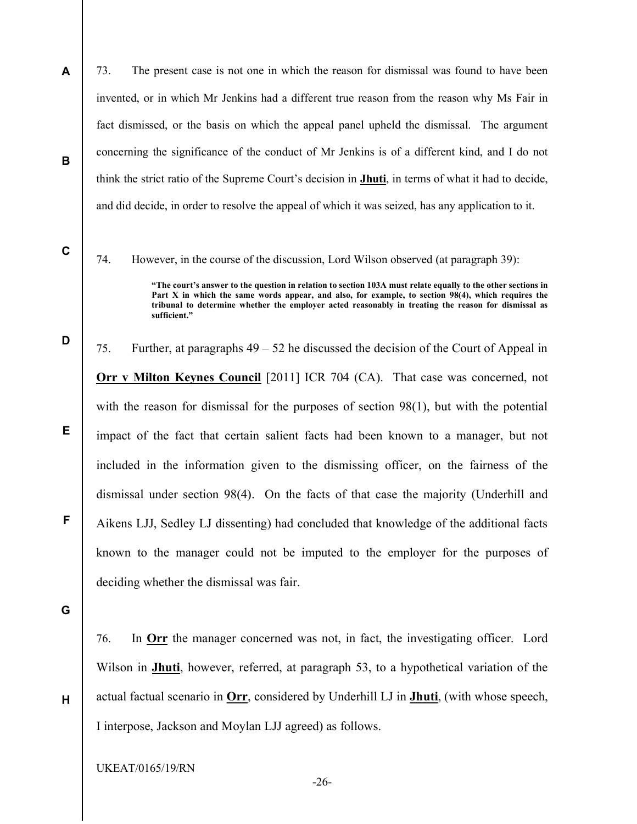A B 73. The present case is not one in which the reason for dismissal was found to have been invented, or in which Mr Jenkins had a different true reason from the reason why Ms Fair in fact dismissed, or the basis on which the appeal panel upheld the dismissal. The argument concerning the significance of the conduct of Mr Jenkins is of a different kind, and I do not think the strict ratio of the Supreme Court's decision in Jhuti, in terms of what it had to decide, and did decide, in order to resolve the appeal of which it was seized, has any application to it.

74. However, in the course of the discussion, Lord Wilson observed (at paragraph 39):

"The court's answer to the question in relation to section 103A must relate equally to the other sections in Part X in which the same words appear, and also, for example, to section 98(4), which requires the tribunal to determine whether the employer acted reasonably in treating the reason for dismissal as sufficient."

75. Further, at paragraphs 49 – 52 he discussed the decision of the Court of Appeal in Orr v Milton Keynes Council [2011] ICR 704 (CA). That case was concerned, not with the reason for dismissal for the purposes of section 98(1), but with the potential impact of the fact that certain salient facts had been known to a manager, but not included in the information given to the dismissing officer, on the fairness of the dismissal under section 98(4). On the facts of that case the majority (Underhill and Aikens LJJ, Sedley LJ dissenting) had concluded that knowledge of the additional facts known to the manager could not be imputed to the employer for the purposes of deciding whether the dismissal was fair.

G

H

C

D

E

F

76. In Orr the manager concerned was not, in fact, the investigating officer. Lord Wilson in **Jhuti**, however, referred, at paragraph 53, to a hypothetical variation of the actual factual scenario in Orr, considered by Underhill LJ in Jhuti, (with whose speech, I interpose, Jackson and Moylan LJJ agreed) as follows.

UKEAT/0165/19/RN

-26-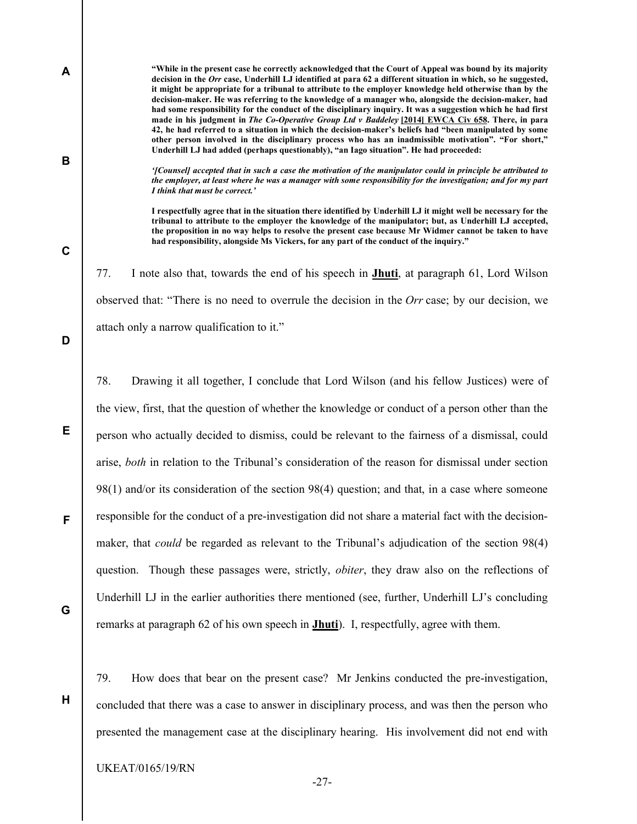C

B

A

77. I note also that, towards the end of his speech in Jhuti, at paragraph 61, Lord Wilson observed that: "There is no need to overrule the decision in the Orr case; by our decision, we attach only a narrow qualification to it."

Underhill LJ had added (perhaps questionably), "an Iago situation". He had proceeded:

had responsibility, alongside Ms Vickers, for any part of the conduct of the inquiry."

I think that must be correct.'

"While in the present case he correctly acknowledged that the Court of Appeal was bound by its majority decision in the Orr case, Underhill LJ identified at para 62 a different situation in which, so he suggested, it might be appropriate for a tribunal to attribute to the employer knowledge held otherwise than by the decision-maker. He was referring to the knowledge of a manager who, alongside the decision-maker, had had some responsibility for the conduct of the disciplinary inquiry. It was a suggestion which he had first made in his judgment in The Co-Operative Group Ltd v Baddeley [2014] EWCA Civ 658. There, in para 42, he had referred to a situation in which the decision-maker's beliefs had "been manipulated by some other person involved in the disciplinary process who has an inadmissible motivation". "For short,"

'[Counsel] accepted that in such a case the motivation of the manipulator could in principle be attributed to the employer, at least where he was a manager with some responsibility for the investigation; and for my part

I respectfully agree that in the situation there identified by Underhill LJ it might well be necessary for the tribunal to attribute to the employer the knowledge of the manipulator; but, as Underhill LJ accepted, the proposition in no way helps to resolve the present case because Mr Widmer cannot be taken to have

D

E

F

78. Drawing it all together, I conclude that Lord Wilson (and his fellow Justices) were of the view, first, that the question of whether the knowledge or conduct of a person other than the person who actually decided to dismiss, could be relevant to the fairness of a dismissal, could arise, both in relation to the Tribunal's consideration of the reason for dismissal under section 98(1) and/or its consideration of the section 98(4) question; and that, in a case where someone responsible for the conduct of a pre-investigation did not share a material fact with the decisionmaker, that could be regarded as relevant to the Tribunal's adjudication of the section 98(4) question. Though these passages were, strictly, *obiter*, they draw also on the reflections of Underhill LJ in the earlier authorities there mentioned (see, further, Underhill LJ's concluding remarks at paragraph 62 of his own speech in Jhuti). I, respectfully, agree with them.

G

H

79. How does that bear on the present case? Mr Jenkins conducted the pre-investigation, concluded that there was a case to answer in disciplinary process, and was then the person who presented the management case at the disciplinary hearing. His involvement did not end with

-27-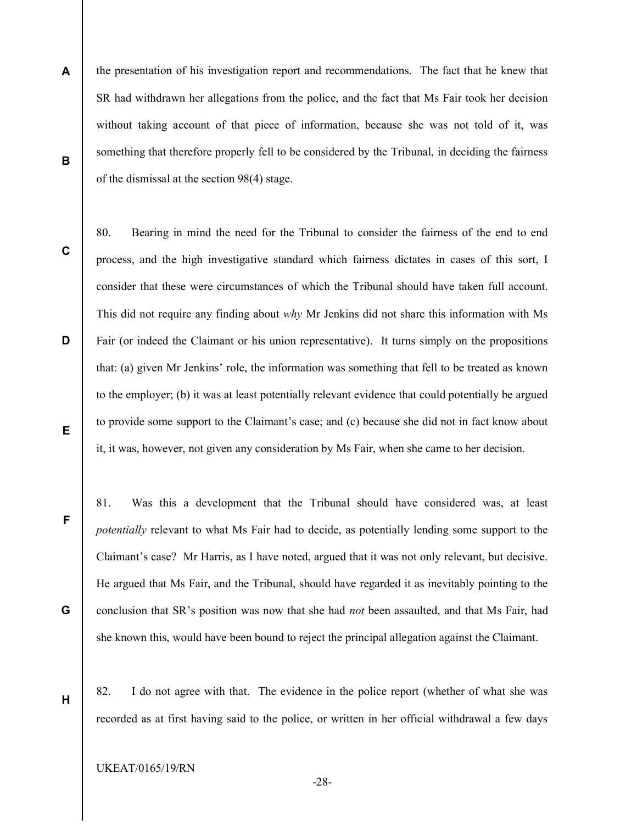- A B the presentation of his investigation report and recommendations. The fact that he knew that SR had withdrawn her allegations from the police, and the fact that Ms Fair took her decision without taking account of that piece of information, because she was not told of it, was something that therefore properly fell to be considered by the Tribunal, in deciding the fairness of the dismissal at the section 98(4) stage.
- C

D

E

F

G

H

80. Bearing in mind the need for the Tribunal to consider the fairness of the end to end process, and the high investigative standard which fairness dictates in cases of this sort, I consider that these were circumstances of which the Tribunal should have taken full account. This did not require any finding about why Mr Jenkins did not share this information with Ms Fair (or indeed the Claimant or his union representative). It turns simply on the propositions that: (a) given Mr Jenkins' role, the information was something that fell to be treated as known to the employer; (b) it was at least potentially relevant evidence that could potentially be argued to provide some support to the Claimant's case; and (c) because she did not in fact know about it, it was, however, not given any consideration by Ms Fair, when she came to her decision.

81. Was this a development that the Tribunal should have considered was, at least potentially relevant to what Ms Fair had to decide, as potentially lending some support to the Claimant's case? Mr Harris, as I have noted, argued that it was not only relevant, but decisive. He argued that Ms Fair, and the Tribunal, should have regarded it as inevitably pointing to the conclusion that SR's position was now that she had *not* been assaulted, and that Ms Fair, had she known this, would have been bound to reject the principal allegation against the Claimant.

82. I do not agree with that. The evidence in the police report (whether of what she was recorded as at first having said to the police, or written in her official withdrawal a few days

-28-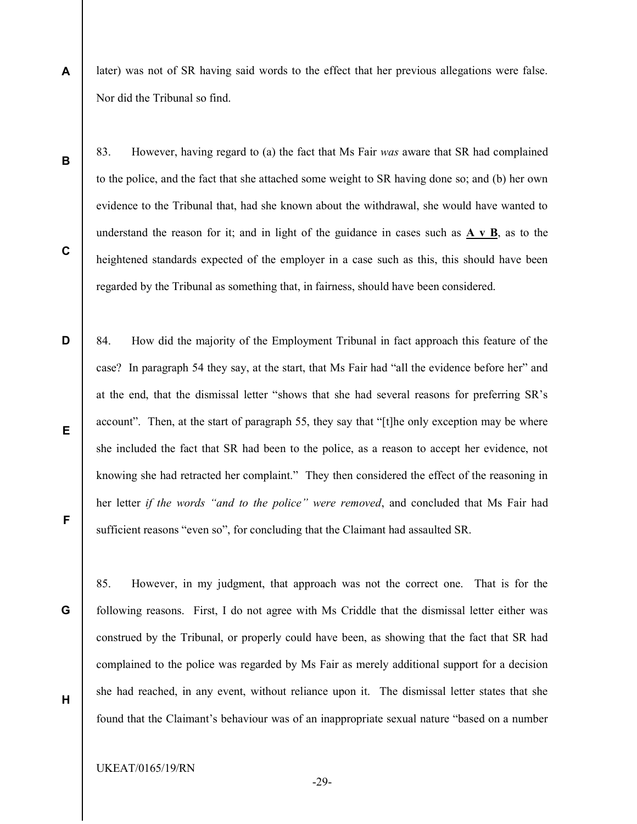- A later) was not of SR having said words to the effect that her previous allegations were false. Nor did the Tribunal so find.
	- 83. However, having regard to (a) the fact that Ms Fair was aware that SR had complained to the police, and the fact that she attached some weight to SR having done so; and (b) her own evidence to the Tribunal that, had she known about the withdrawal, she would have wanted to understand the reason for it; and in light of the guidance in cases such as  $\overrightarrow{A} \times \overrightarrow{B}$ , as to the heightened standards expected of the employer in a case such as this, this should have been regarded by the Tribunal as something that, in fairness, should have been considered.
- D F 84. How did the majority of the Employment Tribunal in fact approach this feature of the case? In paragraph 54 they say, at the start, that Ms Fair had "all the evidence before her" and at the end, that the dismissal letter "shows that she had several reasons for preferring SR's account". Then, at the start of paragraph 55, they say that "[t]he only exception may be where she included the fact that SR had been to the police, as a reason to accept her evidence, not knowing she had retracted her complaint." They then considered the effect of the reasoning in her letter if the words "and to the police" were removed, and concluded that Ms Fair had sufficient reasons "even so", for concluding that the Claimant had assaulted SR.

85. However, in my judgment, that approach was not the correct one. That is for the following reasons. First, I do not agree with Ms Criddle that the dismissal letter either was construed by the Tribunal, or properly could have been, as showing that the fact that SR had complained to the police was regarded by Ms Fair as merely additional support for a decision she had reached, in any event, without reliance upon it. The dismissal letter states that she found that the Claimant's behaviour was of an inappropriate sexual nature "based on a number

UKEAT/0165/19/RN

B

C

E

G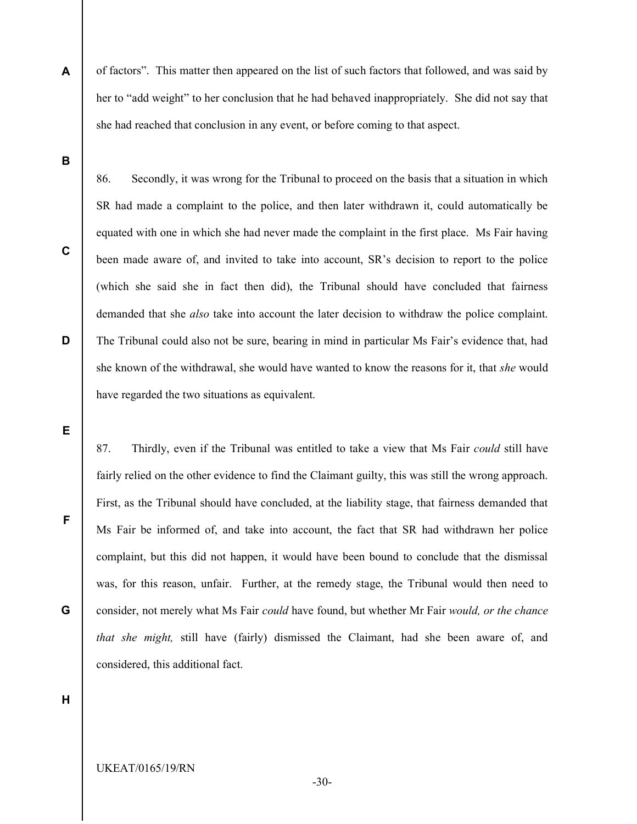of factors". This matter then appeared on the list of such factors that followed, and was said by her to "add weight" to her conclusion that he had behaved inappropriately. She did not say that she had reached that conclusion in any event, or before coming to that aspect.

86. Secondly, it was wrong for the Tribunal to proceed on the basis that a situation in which

SR had made a complaint to the police, and then later withdrawn it, could automatically be

B

A

C

D

equated with one in which she had never made the complaint in the first place. Ms Fair having been made aware of, and invited to take into account, SR's decision to report to the police (which she said she in fact then did), the Tribunal should have concluded that fairness demanded that she *also* take into account the later decision to withdraw the police complaint. The Tribunal could also not be sure, bearing in mind in particular Ms Fair's evidence that, had she known of the withdrawal, she would have wanted to know the reasons for it, that she would have regarded the two situations as equivalent.

E

F

G

87. Thirdly, even if the Tribunal was entitled to take a view that Ms Fair *could* still have fairly relied on the other evidence to find the Claimant guilty, this was still the wrong approach. First, as the Tribunal should have concluded, at the liability stage, that fairness demanded that Ms Fair be informed of, and take into account, the fact that SR had withdrawn her police complaint, but this did not happen, it would have been bound to conclude that the dismissal was, for this reason, unfair. Further, at the remedy stage, the Tribunal would then need to consider, not merely what Ms Fair could have found, but whether Mr Fair would, or the chance that she might, still have (fairly) dismissed the Claimant, had she been aware of, and considered, this additional fact.

H

UKEAT/0165/19/RN

-30-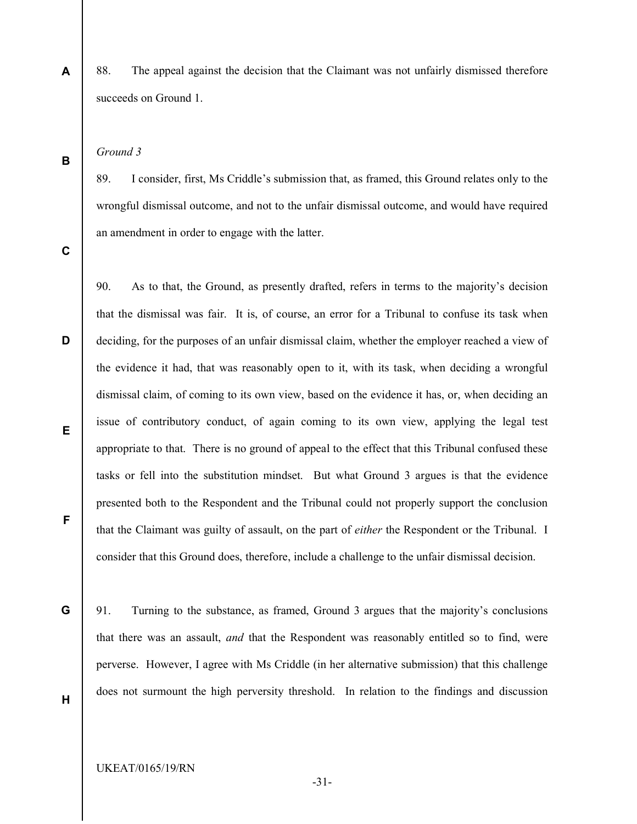88. The appeal against the decision that the Claimant was not unfairly dismissed therefore succeeds on Ground 1.

Ground 3

89. I consider, first, Ms Criddle's submission that, as framed, this Ground relates only to the wrongful dismissal outcome, and not to the unfair dismissal outcome, and would have required an amendment in order to engage with the latter.

C

D

E

F

A

B

90. As to that, the Ground, as presently drafted, refers in terms to the majority's decision that the dismissal was fair. It is, of course, an error for a Tribunal to confuse its task when deciding, for the purposes of an unfair dismissal claim, whether the employer reached a view of the evidence it had, that was reasonably open to it, with its task, when deciding a wrongful dismissal claim, of coming to its own view, based on the evidence it has, or, when deciding an issue of contributory conduct, of again coming to its own view, applying the legal test appropriate to that. There is no ground of appeal to the effect that this Tribunal confused these tasks or fell into the substitution mindset. But what Ground 3 argues is that the evidence presented both to the Respondent and the Tribunal could not properly support the conclusion that the Claimant was guilty of assault, on the part of *either* the Respondent or the Tribunal. I consider that this Ground does, therefore, include a challenge to the unfair dismissal decision.

G

91. Turning to the substance, as framed, Ground 3 argues that the majority's conclusions that there was an assault, and that the Respondent was reasonably entitled so to find, were perverse. However, I agree with Ms Criddle (in her alternative submission) that this challenge does not surmount the high perversity threshold. In relation to the findings and discussion

H

UKEAT/0165/19/RN

-31-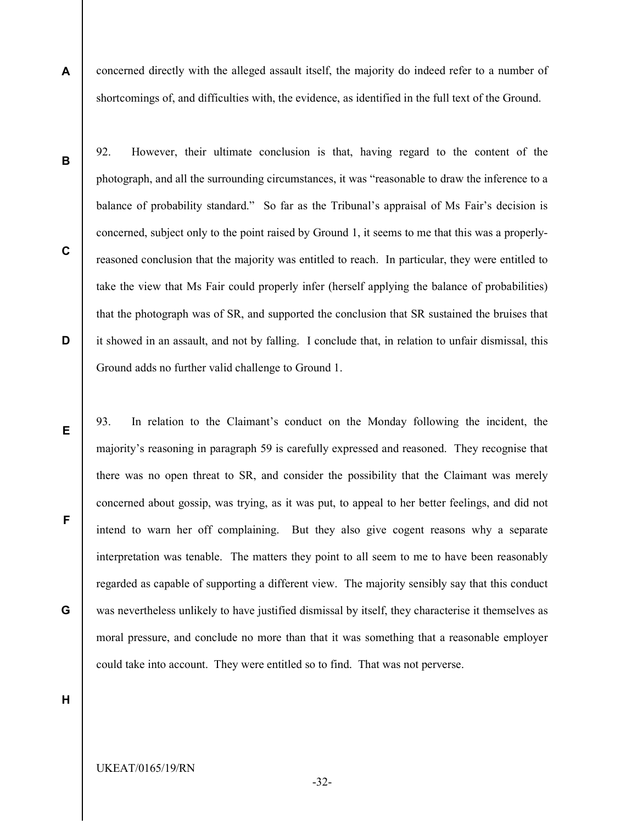A concerned directly with the alleged assault itself, the majority do indeed refer to a number of shortcomings of, and difficulties with, the evidence, as identified in the full text of the Ground.

92. However, their ultimate conclusion is that, having regard to the content of the

photograph, and all the surrounding circumstances, it was "reasonable to draw the inference to a

balance of probability standard." So far as the Tribunal's appraisal of Ms Fair's decision is

concerned, subject only to the point raised by Ground 1, it seems to me that this was a properly-

B

C

D

E

F

G

reasoned conclusion that the majority was entitled to reach. In particular, they were entitled to take the view that Ms Fair could properly infer (herself applying the balance of probabilities) that the photograph was of SR, and supported the conclusion that SR sustained the bruises that it showed in an assault, and not by falling. I conclude that, in relation to unfair dismissal, this Ground adds no further valid challenge to Ground 1.

93. In relation to the Claimant's conduct on the Monday following the incident, the majority's reasoning in paragraph 59 is carefully expressed and reasoned. They recognise that there was no open threat to SR, and consider the possibility that the Claimant was merely concerned about gossip, was trying, as it was put, to appeal to her better feelings, and did not intend to warn her off complaining. But they also give cogent reasons why a separate interpretation was tenable. The matters they point to all seem to me to have been reasonably regarded as capable of supporting a different view. The majority sensibly say that this conduct was nevertheless unlikely to have justified dismissal by itself, they characterise it themselves as moral pressure, and conclude no more than that it was something that a reasonable employer could take into account. They were entitled so to find. That was not perverse.

H

UKEAT/0165/19/RN

-32-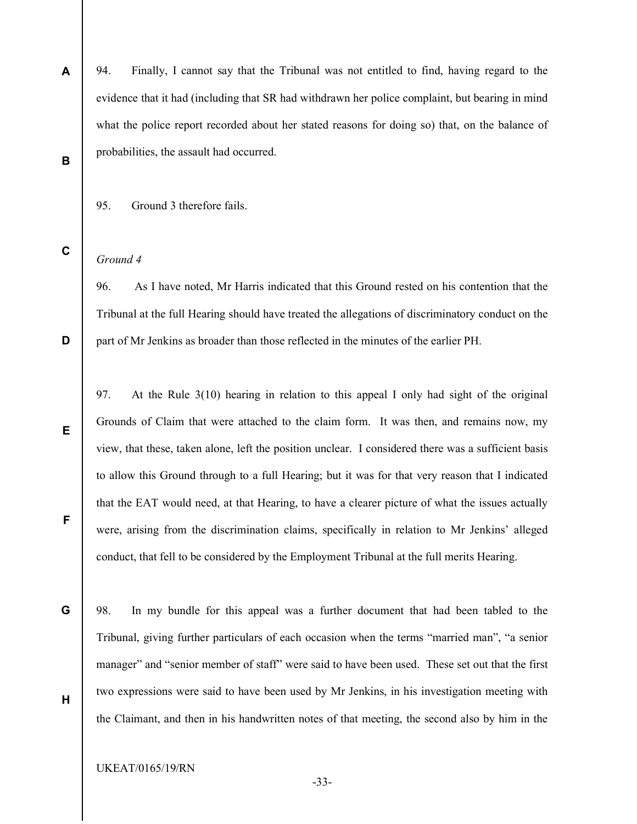- A 94. Finally, I cannot say that the Tribunal was not entitled to find, having regard to the evidence that it had (including that SR had withdrawn her police complaint, but bearing in mind what the police report recorded about her stated reasons for doing so) that, on the balance of probabilities, the assault had occurred.
- B
- 95. Ground 3 therefore fails.
- C

D

E

F

G

H

## Ground 4

96. As I have noted, Mr Harris indicated that this Ground rested on his contention that the Tribunal at the full Hearing should have treated the allegations of discriminatory conduct on the part of Mr Jenkins as broader than those reflected in the minutes of the earlier PH.

97. At the Rule 3(10) hearing in relation to this appeal I only had sight of the original Grounds of Claim that were attached to the claim form. It was then, and remains now, my view, that these, taken alone, left the position unclear. I considered there was a sufficient basis to allow this Ground through to a full Hearing; but it was for that very reason that I indicated that the EAT would need, at that Hearing, to have a clearer picture of what the issues actually were, arising from the discrimination claims, specifically in relation to Mr Jenkins' alleged conduct, that fell to be considered by the Employment Tribunal at the full merits Hearing.

98. In my bundle for this appeal was a further document that had been tabled to the Tribunal, giving further particulars of each occasion when the terms "married man", "a senior manager" and "senior member of staff" were said to have been used. These set out that the first two expressions were said to have been used by Mr Jenkins, in his investigation meeting with the Claimant, and then in his handwritten notes of that meeting, the second also by him in the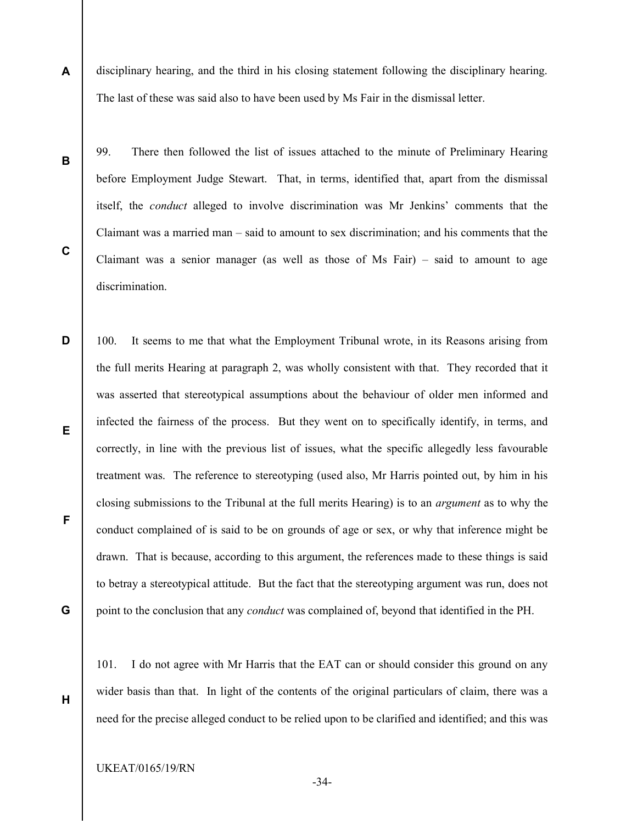A disciplinary hearing, and the third in his closing statement following the disciplinary hearing. The last of these was said also to have been used by Ms Fair in the dismissal letter.

B

C

99. There then followed the list of issues attached to the minute of Preliminary Hearing before Employment Judge Stewart. That, in terms, identified that, apart from the dismissal itself, the conduct alleged to involve discrimination was Mr Jenkins' comments that the Claimant was a married man – said to amount to sex discrimination; and his comments that the Claimant was a senior manager (as well as those of Ms Fair) – said to amount to age discrimination.

D E F G 100. It seems to me that what the Employment Tribunal wrote, in its Reasons arising from the full merits Hearing at paragraph 2, was wholly consistent with that. They recorded that it was asserted that stereotypical assumptions about the behaviour of older men informed and infected the fairness of the process. But they went on to specifically identify, in terms, and correctly, in line with the previous list of issues, what the specific allegedly less favourable treatment was. The reference to stereotyping (used also, Mr Harris pointed out, by him in his closing submissions to the Tribunal at the full merits Hearing) is to an argument as to why the conduct complained of is said to be on grounds of age or sex, or why that inference might be drawn. That is because, according to this argument, the references made to these things is said to betray a stereotypical attitude. But the fact that the stereotyping argument was run, does not point to the conclusion that any *conduct* was complained of, beyond that identified in the PH.

H

101. I do not agree with Mr Harris that the EAT can or should consider this ground on any wider basis than that. In light of the contents of the original particulars of claim, there was a need for the precise alleged conduct to be relied upon to be clarified and identified; and this was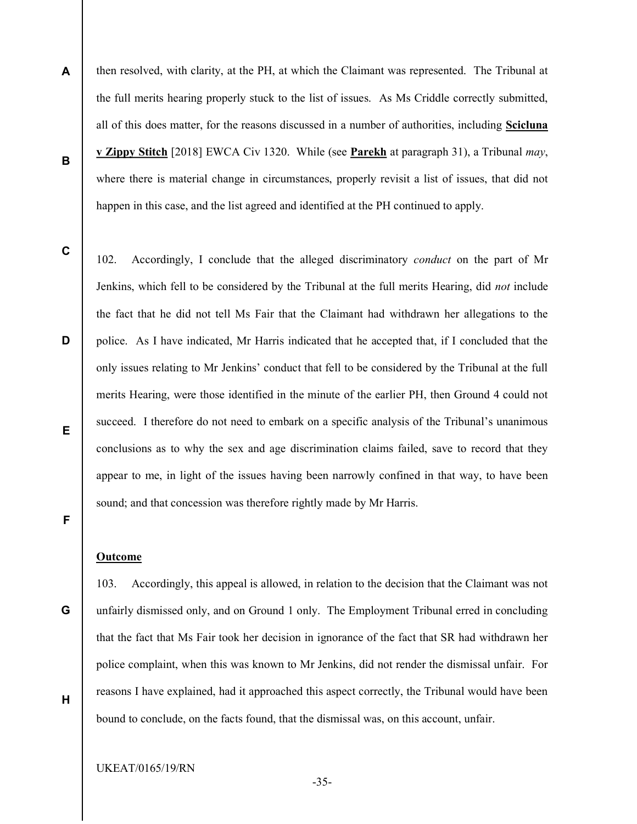A B then resolved, with clarity, at the PH, at which the Claimant was represented. The Tribunal at the full merits hearing properly stuck to the list of issues. As Ms Criddle correctly submitted, all of this does matter, for the reasons discussed in a number of authorities, including Scicluna v Zippy Stitch [2018] EWCA Civ 1320. While (see Parekh at paragraph 31), a Tribunal may, where there is material change in circumstances, properly revisit a list of issues, that did not happen in this case, and the list agreed and identified at the PH continued to apply.

C

D

E

F

102. Accordingly, I conclude that the alleged discriminatory *conduct* on the part of Mr Jenkins, which fell to be considered by the Tribunal at the full merits Hearing, did not include the fact that he did not tell Ms Fair that the Claimant had withdrawn her allegations to the police. As I have indicated, Mr Harris indicated that he accepted that, if I concluded that the only issues relating to Mr Jenkins' conduct that fell to be considered by the Tribunal at the full merits Hearing, were those identified in the minute of the earlier PH, then Ground 4 could not succeed. I therefore do not need to embark on a specific analysis of the Tribunal's unanimous conclusions as to why the sex and age discrimination claims failed, save to record that they appear to me, in light of the issues having been narrowly confined in that way, to have been sound; and that concession was therefore rightly made by Mr Harris.

## Outcome

G

H

103. Accordingly, this appeal is allowed, in relation to the decision that the Claimant was not unfairly dismissed only, and on Ground 1 only. The Employment Tribunal erred in concluding that the fact that Ms Fair took her decision in ignorance of the fact that SR had withdrawn her police complaint, when this was known to Mr Jenkins, did not render the dismissal unfair. For reasons I have explained, had it approached this aspect correctly, the Tribunal would have been bound to conclude, on the facts found, that the dismissal was, on this account, unfair.